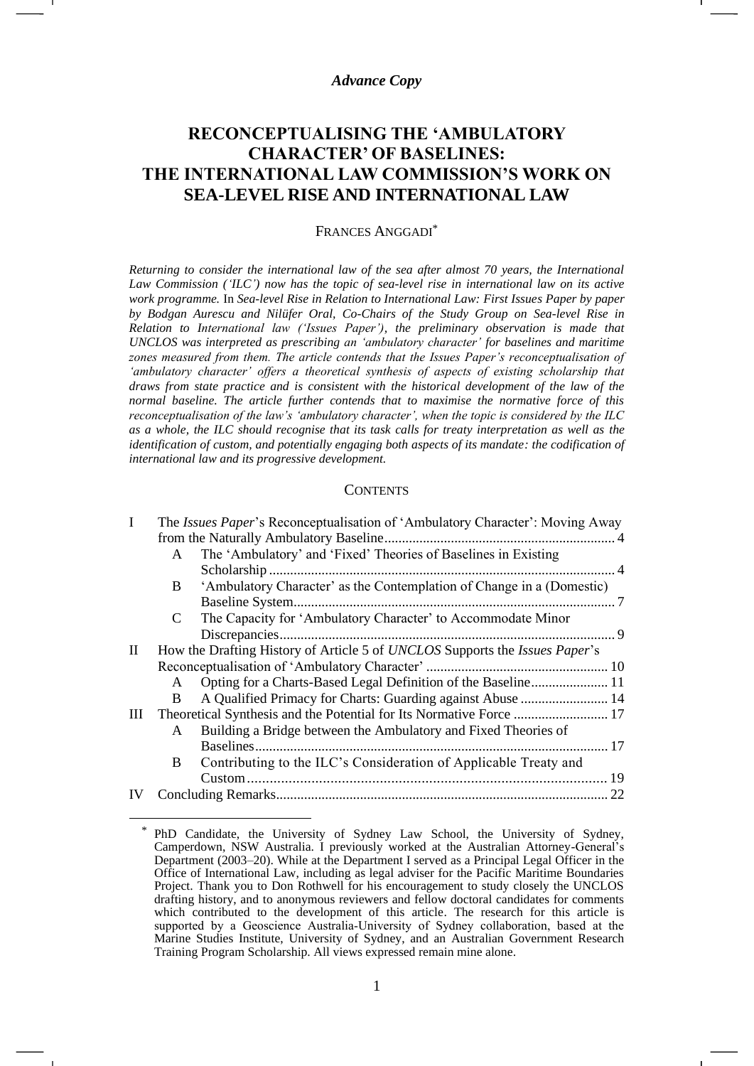### *Advance Copy*

# **RECONCEPTUALISING THE 'AMBULATORY CHARACTER' OF BASELINES: THE INTERNATIONAL LAW COMMISSION'S WORK ON SEA-LEVEL RISE AND INTERNATIONAL LAW**

#### FRANCES ANGGADI\*

*Returning to consider the international law of the sea after almost 70 years, the International Law Commission ('ILC') now has the topic of sea-level rise in international law on its active work programme.* In *Sea-level Rise in Relation to International Law: First Issues Paper by paper by Bodgan Aurescu and Nilüfer Oral, Co-Chairs of the Study Group on Sea-level Rise in Relation to International law ('Issues Paper'), the preliminary observation is made that UNCLOS was interpreted as prescribing an 'ambulatory character' for baselines and maritime zones measured from them. The article contends that the Issues Paper's reconceptualisation of 'ambulatory character' offers a theoretical synthesis of aspects of existing scholarship that*  draws from state practice and is consistent with the historical development of the law of the *normal baseline. The article further contends that to maximise the normative force of this reconceptualisation of the law's 'ambulatory character', when the topic is considered by the ILC as a whole, the ILC should recognise that its task calls for treaty interpretation as well as the identification of custom, and potentially engaging both aspects of its mandate: the codification of international law and its progressive development.*

### **CONTENTS**

|              | The Issues Paper's Reconceptualisation of 'Ambulatory Character': Moving Away |                                                                       |            |
|--------------|-------------------------------------------------------------------------------|-----------------------------------------------------------------------|------------|
|              |                                                                               |                                                                       |            |
|              | A                                                                             | The 'Ambulatory' and 'Fixed' Theories of Baselines in Existing        |            |
|              |                                                                               | Scholarship                                                           |            |
|              | B                                                                             | 'Ambulatory Character' as the Contemplation of Change in a (Domestic) |            |
|              |                                                                               |                                                                       |            |
|              | C                                                                             | The Capacity for 'Ambulatory Character' to Accommodate Minor          |            |
|              |                                                                               |                                                                       | 9          |
| $\mathbf{I}$ | How the Drafting History of Article 5 of UNCLOS Supports the Issues Paper's   |                                                                       |            |
|              |                                                                               |                                                                       |            |
|              | A                                                                             |                                                                       |            |
|              | B.                                                                            | A Qualified Primacy for Charts: Guarding against Abuse  14            |            |
| Ш            |                                                                               |                                                                       |            |
|              | A                                                                             | Building a Bridge between the Ambulatory and Fixed Theories of        |            |
|              |                                                                               | Baselines                                                             | $\dots$ 17 |
|              | B                                                                             | Contributing to the ILC's Consideration of Applicable Treaty and      |            |
|              |                                                                               |                                                                       | 19         |
|              |                                                                               |                                                                       | 22         |

<sup>\*</sup> PhD Candidate, the University of Sydney Law School, the University of Sydney, Camperdown, NSW Australia. I previously worked at the Australian Attorney-General's Department (2003–20). While at the Department I served as a Principal Legal Officer in the Office of International Law, including as legal adviser for the Pacific Maritime Boundaries Project. Thank you to Don Rothwell for his encouragement to study closely the UNCLOS drafting history, and to anonymous reviewers and fellow doctoral candidates for comments which contributed to the development of this article. The research for this article is supported by a Geoscience Australia-University of Sydney collaboration, based at the Marine Studies Institute, University of Sydney, and an Australian Government Research Training Program Scholarship. All views expressed remain mine alone.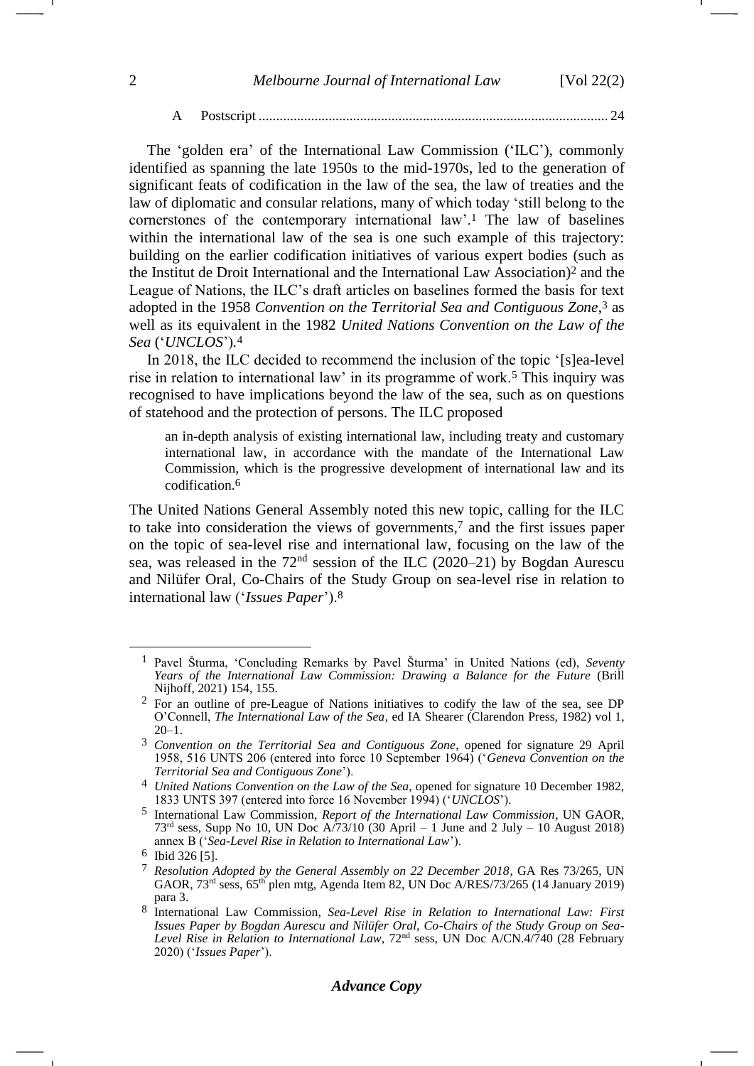#### <span id="page-1-4"></span><span id="page-1-1"></span>A Postscript .................................................................................................... 24

The 'golden era' of the International Law Commission ('ILC'), commonly identified as spanning the late 1950s to the mid-1970s, led to the generation of significant feats of codification in the law of the sea, the law of treaties and the law of diplomatic and consular relations, many of which today 'still belong to the cornerstones of the contemporary international law'.<sup>1</sup> The law of baselines within the international law of the sea is one such example of this trajectory: building on the earlier codification initiatives of various expert bodies (such as the Institut de Droit International and the International Law Association)<sup>2</sup> and the League of Nations, the ILC's draft articles on baselines formed the basis for text adopted in the 1958 *Convention on the Territorial Sea and Contiguous Zone*, <sup>3</sup> as well as its equivalent in the 1982 *United Nations Convention on the Law of the Sea* ('*UNCLOS*')*.* 4

<span id="page-1-0"></span>In 2018, the ILC decided to recommend the inclusion of the topic '[s]ea-level rise in relation to international law' in its programme of work.<sup>5</sup> This inquiry was recognised to have implications beyond the law of the sea, such as on questions of statehood and the protection of persons. The ILC proposed

<span id="page-1-3"></span>an in-depth analysis of existing international law, including treaty and customary international law, in accordance with the mandate of the International Law Commission, which is the progressive development of international law and its codification.6

The United Nations General Assembly noted this new topic, calling for the ILC to take into consideration the views of governments,<sup>7</sup> and the first issues paper on the topic of sea-level rise and international law, focusing on the law of the sea, was released in the  $72<sup>nd</sup>$  session of the ILC (2020–21) by Bogdan Aurescu and Nilüfer Oral, Co-Chairs of the Study Group on sea-level rise in relation to international law ('*Issues Paper*').<sup>8</sup>

### *Advance Copy*

<span id="page-1-2"></span><sup>1</sup> Pavel Šturma, 'Concluding Remarks by Pavel Šturma' in United Nations (ed), *Seventy Years of the International Law Commission: Drawing a Balance for the Future* (Brill Nijhoff, 2021) 154, 155.

<sup>2</sup> For an outline of pre-League of Nations initiatives to codify the law of the sea, see DP O'Connell, *The International Law of the Sea*, ed IA Shearer (Clarendon Press, 1982) vol 1, 20–1.

<sup>3</sup> *Convention on the Territorial Sea and Contiguous Zone*, opened for signature 29 April 1958, 516 UNTS 206 (entered into force 10 September 1964) ('*Geneva Convention on the Territorial Sea and Contiguous Zone*').

<sup>4</sup> *United Nations Convention on the Law of the Sea*, opened for signature 10 December 1982, 1833 UNTS 397 (entered into force 16 November 1994) ('*UNCLOS*').

<sup>5</sup> International Law Commission, *Report of the International Law Commission*, UN GAOR, 73<sup>rd</sup> sess, Supp No 10, UN Doc  $A/73/10$  (30 April – 1 June and 2 July – 10 August 2018) annex B ('*Sea-Level Rise in Relation to International Law*').

 $^{6}$  Ibid 326 [5].

<sup>7</sup> *Resolution Adopted by the General Assembly on 22 December 2018*, GA Res 73/265, UN GAOR,  $73<sup>rd</sup>$  sess,  $65<sup>th</sup>$  plen mtg, Agenda Item 82, UN Doc A/RES/73/265 (14 January 2019) para 3.

<sup>8</sup> International Law Commission, *Sea-Level Rise in Relation to International Law: First Issues Paper by Bogdan Aurescu and Nilüfer Oral, Co-Chairs of the Study Group on Sea-Level Rise in Relation to International Law*, 72nd sess, UN Doc A/CN.4/740 (28 February 2020) ('*Issues Paper*').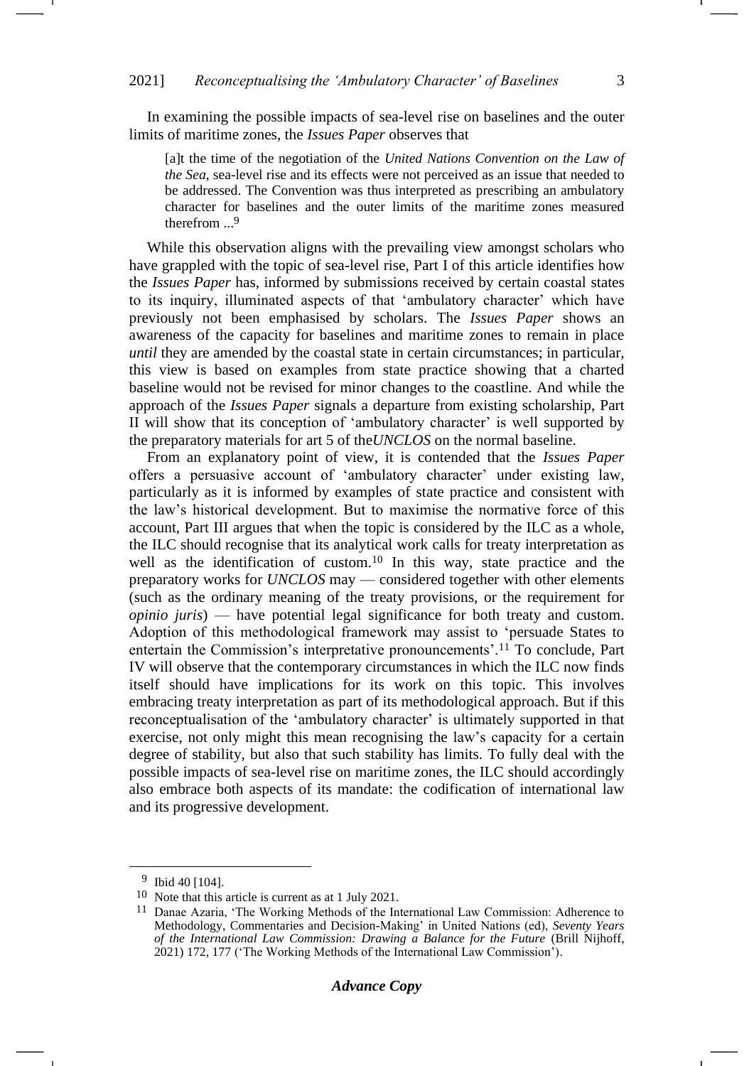In examining the possible impacts of sea-level rise on baselines and the outer limits of maritime zones, the *Issues Paper* observes that

[a]t the time of the negotiation of the *United Nations Convention on the Law of the Sea*, sea-level rise and its effects were not perceived as an issue that needed to be addressed. The Convention was thus interpreted as prescribing an ambulatory character for baselines and the outer limits of the maritime zones measured therefrom ... 9

While this observation aligns with the prevailing view amongst scholars who have grappled with the topic of sea-level rise, Part I of this article identifies how the *Issues Paper* has, informed by submissions received by certain coastal states to its inquiry, illuminated aspects of that 'ambulatory character' which have previously not been emphasised by scholars. The *Issues Paper* shows an awareness of the capacity for baselines and maritime zones to remain in place *until* they are amended by the coastal state in certain circumstances; in particular, this view is based on examples from state practice showing that a charted baseline would not be revised for minor changes to the coastline. And while the approach of the *Issues Paper* signals a departure from existing scholarship, Part II will show that its conception of 'ambulatory character' is well supported by the preparatory materials for art 5 of the*UNCLOS* on the normal baseline.

<span id="page-2-0"></span>From an explanatory point of view, it is contended that the *Issues Paper*  offers a persuasive account of 'ambulatory character' under existing law, particularly as it is informed by examples of state practice and consistent with the law's historical development. But to maximise the normative force of this account, Part III argues that when the topic is considered by the ILC as a whole, the ILC should recognise that its analytical work calls for treaty interpretation as well as the identification of custom.<sup>10</sup> In this way, state practice and the preparatory works for *UNCLOS* may — considered together with other elements (such as the ordinary meaning of the treaty provisions, or the requirement for *opinio juris*) — have potential legal significance for both treaty and custom. Adoption of this methodological framework may assist to 'persuade States to entertain the Commission's interpretative pronouncements'.<sup>11</sup> To conclude, Part IV will observe that the contemporary circumstances in which the ILC now finds itself should have implications for its work on this topic. This involves embracing treaty interpretation as part of its methodological approach. But if this reconceptualisation of the 'ambulatory character' is ultimately supported in that exercise, not only might this mean recognising the law's capacity for a certain degree of stability, but also that such stability has limits. To fully deal with the possible impacts of sea-level rise on maritime zones, the ILC should accordingly also embrace both aspects of its mandate: the codification of international law and its progressive development.

<sup>&</sup>lt;sup>9</sup> Ibid 40 [104].

<sup>10</sup> Note that this article is current as at 1 July 2021.

<sup>11</sup> Danae Azaria, 'The Working Methods of the International Law Commission: Adherence to Methodology, Commentaries and Decision-Making' in United Nations (ed), *Seventy Years of the International Law Commission: Drawing a Balance for the Future* (Brill Nijhoff, 2021) 172, 177 ('The Working Methods of the International Law Commission').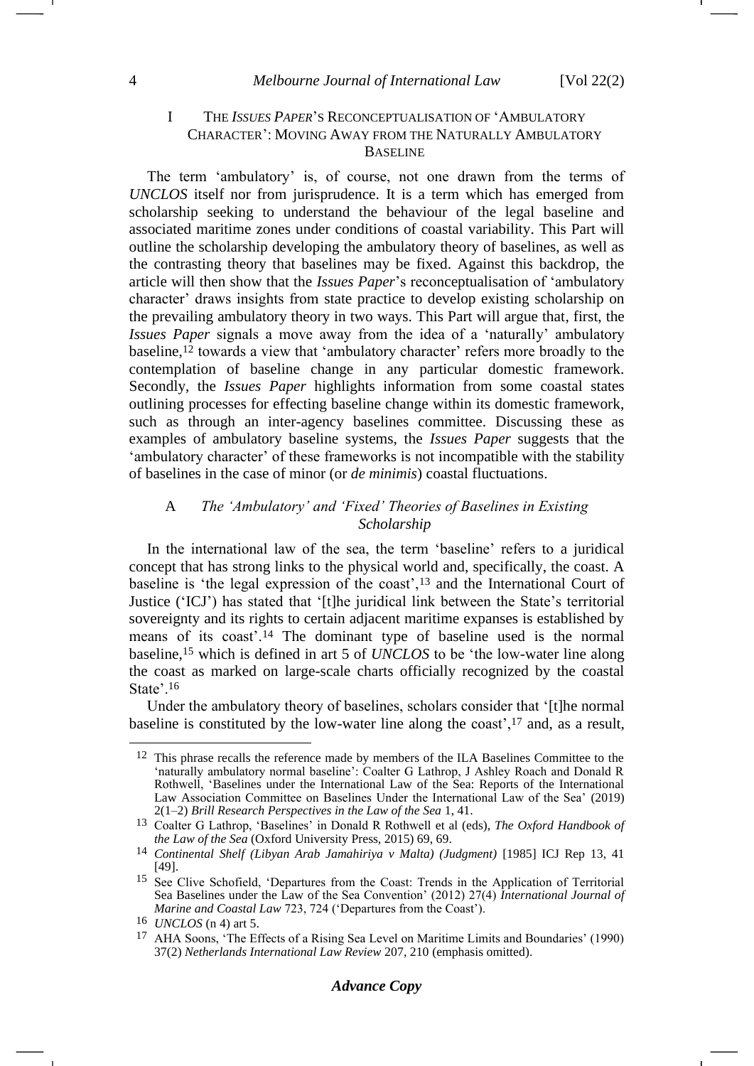## I THE *ISSUES PAPER*'S RECONCEPTUALISATION OF 'AMBULATORY CHARACTER': MOVING AWAY FROM THE NATURALLY AMBULATORY BASELINE

The term 'ambulatory' is, of course, not one drawn from the terms of *UNCLOS* itself nor from jurisprudence. It is a term which has emerged from scholarship seeking to understand the behaviour of the legal baseline and associated maritime zones under conditions of coastal variability. This Part will outline the scholarship developing the ambulatory theory of baselines, as well as the contrasting theory that baselines may be fixed. Against this backdrop, the article will then show that the *Issues Paper*'s reconceptualisation of 'ambulatory character' draws insights from state practice to develop existing scholarship on the prevailing ambulatory theory in two ways. This Part will argue that, first, the *Issues Paper* signals a move away from the idea of a 'naturally' ambulatory baseline, <sup>12</sup> towards a view that 'ambulatory character' refers more broadly to the contemplation of baseline change in any particular domestic framework. Secondly, the *Issues Paper* highlights information from some coastal states outlining processes for effecting baseline change within its domestic framework, such as through an inter-agency baselines committee. Discussing these as examples of ambulatory baseline systems, the *Issues Paper* suggests that the 'ambulatory character' of these frameworks is not incompatible with the stability of baselines in the case of minor (or *de minimis*) coastal fluctuations.

# <span id="page-3-3"></span><span id="page-3-1"></span>A *The 'Ambulatory' and 'Fixed' Theories of Baselines in Existing Scholarship*

In the international law of the sea, the term 'baseline' refers to a juridical concept that has strong links to the physical world and, specifically, the coast. A baseline is 'the legal expression of the coast',<sup>13</sup> and the International Court of Justice ('ICJ') has stated that '[t]he juridical link between the State's territorial sovereignty and its rights to certain adjacent maritime expanses is established by means of its coast'.<sup>14</sup> The dominant type of baseline used is the normal baseline,<sup>15</sup> which is defined in art 5 of *UNCLOS* to be 'the low-water line along the coast as marked on large-scale charts officially recognized by the coastal State'.<sup>16</sup>

<span id="page-3-0"></span>Under the ambulatory theory of baselines, scholars consider that '[t]he normal baseline is constituted by the low-water line along the coast',<sup>17</sup> and, as a result,

<span id="page-3-2"></span><sup>&</sup>lt;sup>12</sup> This phrase recalls the reference made by members of the ILA Baselines Committee to the 'naturally ambulatory normal baseline': Coalter G Lathrop, J Ashley Roach and Donald R Rothwell, 'Baselines under the International Law of the Sea: Reports of the International Law Association Committee on Baselines Under the International Law of the Sea' (2019) 2(1–2) *Brill Research Perspectives in the Law of the Sea* 1, 41.

<sup>13</sup> Coalter G Lathrop, 'Baselines' in Donald R Rothwell et al (eds), *The Oxford Handbook of the Law of the Sea* (Oxford University Press, 2015) 69, 69.

<sup>14</sup> *Continental Shelf (Libyan Arab Jamahiriya v Malta) (Judgment)* [1985] ICJ Rep 13, 41 [49].

<sup>15</sup> See Clive Schofield, 'Departures from the Coast: Trends in the Application of Territorial Sea Baselines under the Law of the Sea Convention' (2012) 27(4) *International Journal of Marine and Coastal Law* 723, 724 ('Departures from the Coast').

<sup>16</sup> *UNCLOS* (n [4\)](#page-1-0) art 5.

<sup>17</sup> AHA Soons, 'The Effects of a Rising Sea Level on Maritime Limits and Boundaries' (1990) 37(2) *Netherlands International Law Review* 207, 210 (emphasis omitted).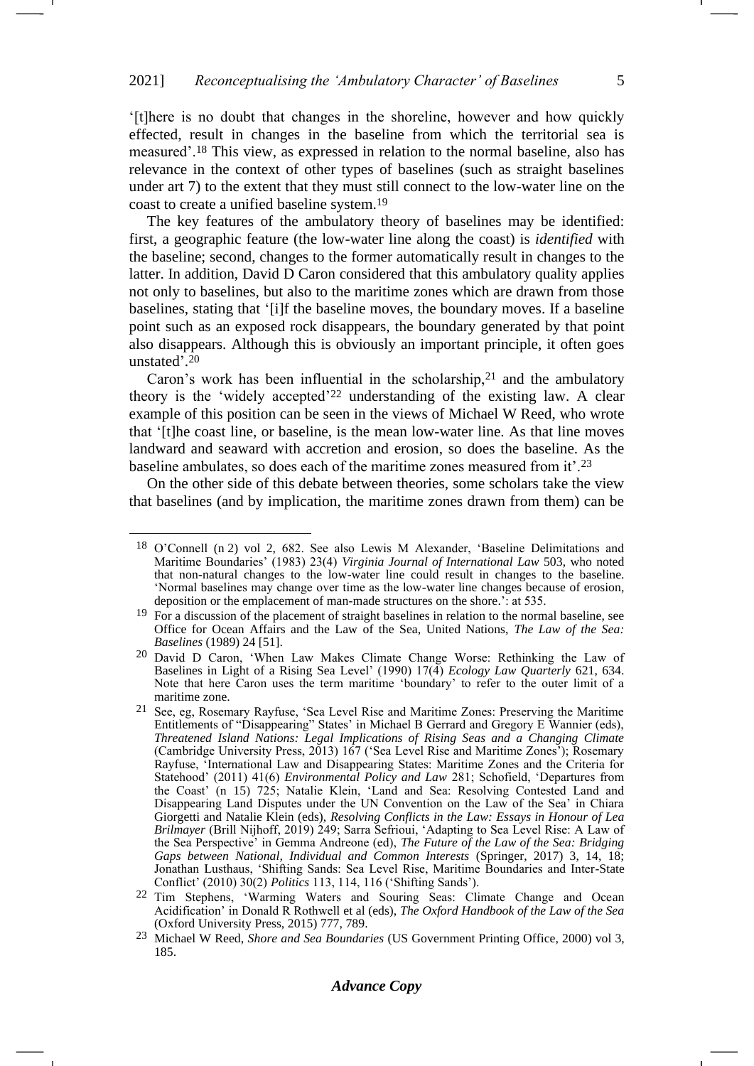'[t]here is no doubt that changes in the shoreline, however and how quickly effected, result in changes in the baseline from which the territorial sea is measured'.<sup>18</sup> This view, as expressed in relation to the normal baseline, also has relevance in the context of other types of baselines (such as straight baselines under art 7) to the extent that they must still connect to the low-water line on the coast to create a unified baseline system.<sup>19</sup>

The key features of the ambulatory theory of baselines may be identified: first, a geographic feature (the low-water line along the coast) is *identified* with the baseline; second, changes to the former automatically result in changes to the latter. In addition, David D Caron considered that this ambulatory quality applies not only to baselines, but also to the maritime zones which are drawn from those baselines, stating that '[i]f the baseline moves, the boundary moves. If a baseline point such as an exposed rock disappears, the boundary generated by that point also disappears. Although this is obviously an important principle, it often goes unstated'. 20

<span id="page-4-1"></span><span id="page-4-0"></span>Caron's work has been influential in the scholarship, $21$  and the ambulatory theory is the 'widely accepted'<sup>22</sup> understanding of the existing law. A clear example of this position can be seen in the views of Michael W Reed, who wrote that '[t]he coast line, or baseline, is the mean low-water line. As that line moves landward and seaward with accretion and erosion, so does the baseline. As the baseline ambulates, so does each of the maritime zones measured from it'.<sup>23</sup>

On the other side of this debate between theories, some scholars take the view that baselines (and by implication, the maritime zones drawn from them) can be

<span id="page-4-2"></span><sup>18</sup> O'Connell (n [2\)](#page-1-1) vol 2, 682. See also Lewis M Alexander, 'Baseline Delimitations and Maritime Boundaries' (1983) 23(4) *Virginia Journal of International Law* 503, who noted that non-natural changes to the low-water line could result in changes to the baseline. 'Normal baselines may change over time as the low-water line changes because of erosion, deposition or the emplacement of man-made structures on the shore.': at 535.

<sup>&</sup>lt;sup>19</sup> For a discussion of the placement of straight baselines in relation to the normal baseline, see Office for Ocean Affairs and the Law of the Sea, United Nations, *The Law of the Sea: Baselines* (1989) 24 [51].

<sup>20</sup> David D Caron, 'When Law Makes Climate Change Worse: Rethinking the Law of Baselines in Light of a Rising Sea Level' (1990) 17(4) *Ecology Law Quarterly* 621, 634. Note that here Caron uses the term maritime 'boundary' to refer to the outer limit of a maritime zone.

<sup>21</sup> See, eg, Rosemary Rayfuse, 'Sea Level Rise and Maritime Zones: Preserving the Maritime Entitlements of "Disappearing" States' in Michael B Gerrard and Gregory E Wannier (eds), *Threatened Island Nations: Legal Implications of Rising Seas and a Changing Climate* (Cambridge University Press, 2013) 167 ('Sea Level Rise and Maritime Zones'); Rosemary Rayfuse, 'International Law and Disappearing States: Maritime Zones and the Criteria for Statehood' (2011) 41(6) *Environmental Policy and Law* 281; Schofield, 'Departures from the Coast' (n [15\)](#page-3-0) 725; Natalie Klein, 'Land and Sea: Resolving Contested Land and Disappearing Land Disputes under the UN Convention on the Law of the Sea' in Chiara Giorgetti and Natalie Klein (eds), *Resolving Conflicts in the Law: Essays in Honour of Lea Brilmayer* (Brill Nijhoff, 2019) 249; Sarra Sefrioui, 'Adapting to Sea Level Rise: A Law of the Sea Perspective' in Gemma Andreone (ed), *The Future of the Law of the Sea: Bridging Gaps between National, Individual and Common Interests* (Springer, 2017) 3, 14, 18; Jonathan Lusthaus, 'Shifting Sands: Sea Level Rise, Maritime Boundaries and Inter-State Conflict' (2010) 30(2) *Politics* 113, 114, 116 ('Shifting Sands').

<sup>22</sup> Tim Stephens, 'Warming Waters and Souring Seas: Climate Change and Ocean Acidification' in Donald R Rothwell et al (eds), *The Oxford Handbook of the Law of the Sea* (Oxford University Press, 2015) 777, 789.

<sup>23</sup> Michael W Reed, *Shore and Sea Boundaries* (US Government Printing Office, 2000) vol 3, 185.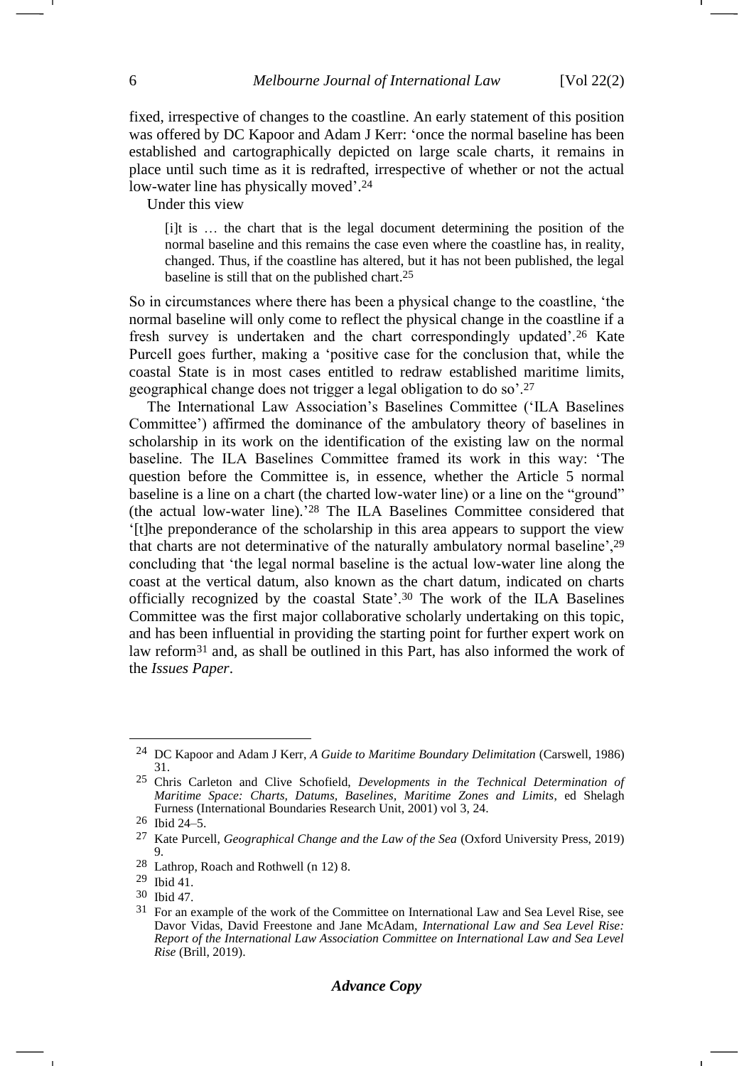fixed, irrespective of changes to the coastline. An early statement of this position was offered by DC Kapoor and Adam J Kerr: 'once the normal baseline has been established and cartographically depicted on large scale charts, it remains in place until such time as it is redrafted, irrespective of whether or not the actual low-water line has physically moved'. 24

Under this view

<span id="page-5-1"></span><span id="page-5-0"></span>[i]t is … the chart that is the legal document determining the position of the normal baseline and this remains the case even where the coastline has, in reality, changed. Thus, if the coastline has altered, but it has not been published, the legal baseline is still that on the published chart.25

So in circumstances where there has been a physical change to the coastline, 'the normal baseline will only come to reflect the physical change in the coastline if a fresh survey is undertaken and the chart correspondingly updated'.<sup>26</sup> Kate Purcell goes further, making a 'positive case for the conclusion that, while the coastal State is in most cases entitled to redraw established maritime limits, geographical change does not trigger a legal obligation to do so'.<sup>27</sup>

The International Law Association's Baselines Committee ('ILA Baselines Committee') affirmed the dominance of the ambulatory theory of baselines in scholarship in its work on the identification of the existing law on the normal baseline. The ILA Baselines Committee framed its work in this way: 'The question before the Committee is, in essence, whether the Article 5 normal baseline is a line on a chart (the charted low-water line) or a line on the "ground" (the actual low-water line).' <sup>28</sup> The ILA Baselines Committee considered that '[t]he preponderance of the scholarship in this area appears to support the view that charts are not determinative of the naturally ambulatory normal baseline',<sup>29</sup> concluding that 'the legal normal baseline is the actual low-water line along the coast at the vertical datum, also known as the chart datum, indicated on charts officially recognized by the coastal State'.<sup>30</sup> The work of the ILA Baselines Committee was the first major collaborative scholarly undertaking on this topic, and has been influential in providing the starting point for further expert work on law reform<sup>31</sup> and, as shall be outlined in this Part, has also informed the work of the *Issues Paper*.

<sup>24</sup> DC Kapoor and Adam J Kerr, *A Guide to Maritime Boundary Delimitation* (Carswell, 1986) 31.

<sup>25</sup> Chris Carleton and Clive Schofield, *Developments in the Technical Determination of Maritime Space: Charts, Datums, Baselines, Maritime Zones and Limits*, ed Shelagh Furness (International Boundaries Research Unit, 2001) vol 3, 24.

<sup>26</sup> Ibid 24–5.

<sup>27</sup> Kate Purcell, *Geographical Change and the Law of the Sea* (Oxford University Press, 2019) 9.

<sup>28</sup> Lathrop, Roach and Rothwell (n [12\)](#page-3-1) 8.

<sup>29</sup> Ibid 41.

<sup>30</sup> Ibid 47.

<sup>31</sup> For an example of the work of the Committee on International Law and Sea Level Rise, see Davor Vidas, David Freestone and Jane McAdam, *International Law and Sea Level Rise: Report of the International Law Association Committee on International Law and Sea Level Rise* (Brill, 2019).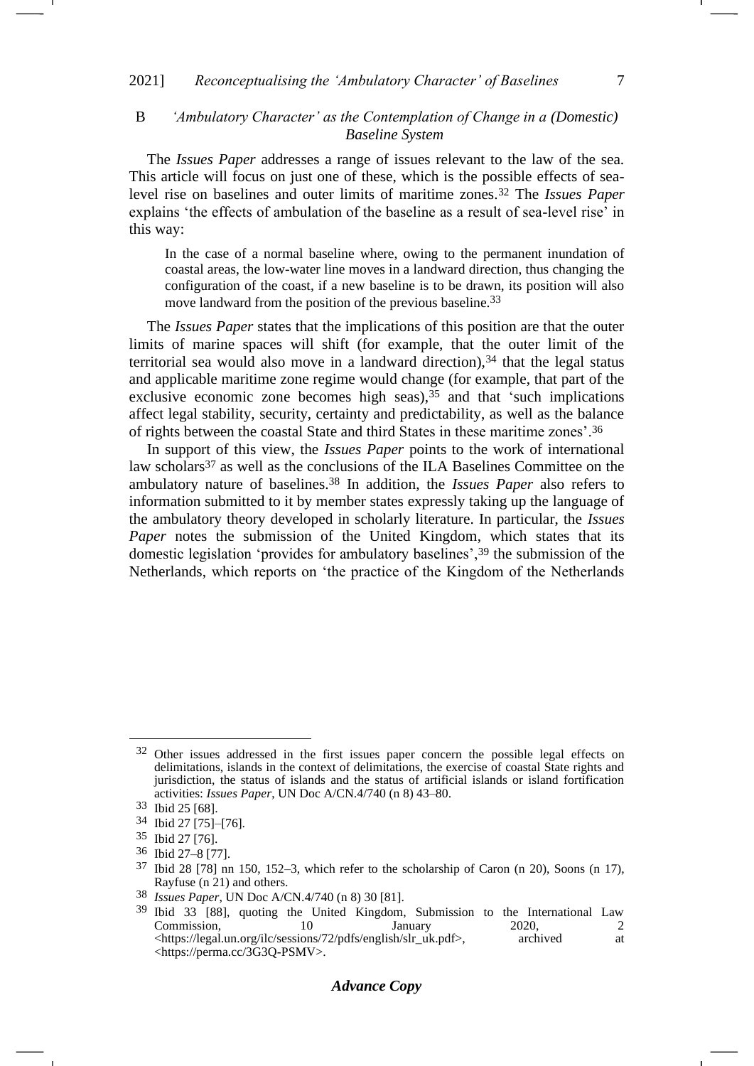# B *'Ambulatory Character' as the Contemplation of Change in a (Domestic) Baseline System*

The *Issues Paper* addresses a range of issues relevant to the law of the sea. This article will focus on just one of these, which is the possible effects of sealevel rise on baselines and outer limits of maritime zones.<sup>32</sup> The *Issues Paper* explains 'the effects of ambulation of the baseline as a result of sea-level rise' in this way:

In the case of a normal baseline where, owing to the permanent inundation of coastal areas, the low-water line moves in a landward direction, thus changing the configuration of the coast, if a new baseline is to be drawn, its position will also move landward from the position of the previous baseline.<sup>33</sup>

The *Issues Paper* states that the implications of this position are that the outer limits of marine spaces will shift (for example, that the outer limit of the territorial sea would also move in a landward direction), $34$  that the legal status and applicable maritime zone regime would change (for example, that part of the exclusive economic zone becomes high seas),  $35$  and that 'such implications affect legal stability, security, certainty and predictability, as well as the balance of rights between the coastal State and third States in these maritime zones'.<sup>36</sup>

In support of this view, the *Issues Paper* points to the work of international law scholars<sup>37</sup> as well as the conclusions of the ILA Baselines Committee on the ambulatory nature of baselines.<sup>38</sup> In addition, the *Issues Paper* also refers to information submitted to it by member states expressly taking up the language of the ambulatory theory developed in scholarly literature. In particular, the *Issues Paper* notes the submission of the United Kingdom, which states that its domestic legislation 'provides for ambulatory baselines',<sup>39</sup> the submission of the Netherlands, which reports on 'the practice of the Kingdom of the Netherlands

# *Advance Copy*

<sup>&</sup>lt;sup>32</sup> Other issues addressed in the first issues paper concern the possible legal effects on delimitations, islands in the context of delimitations, the exercise of coastal State rights and jurisdiction, the status of islands and the status of artificial islands or island fortification activities: *Issues Paper*, UN Doc A/CN.4/740 (n [8\)](#page-1-2) 43–80.

<sup>33</sup> Ibid 25 [68].

<sup>34</sup> Ibid 27 [75]–[76].

<sup>35</sup> Ibid 27 [76].

<sup>36</sup> Ibid 27–8 [77].

<sup>37</sup> Ibid 28 [78] nn 150, 152–3, which refer to the scholarship of Caron (n [20\)](#page-4-0), Soons (n [17\)](#page-3-2), Rayfuse (n [21\)](#page-4-1) and others.

<sup>38</sup> *Issues Paper*, UN Doc A/CN.4/740 (n [8\)](#page-1-2) 30 [81].

<sup>39</sup> Ibid 33 [88], quoting the United Kingdom, Submission to the International Law Commission, 10 January 2020, 2<br>
<https://legal.un.org/ilc/sessions/72/pdfs/english/slr uk.pdf>. archived at <https://legal.un.org/ilc/sessions/72/pdfs/english/slr\_uk.pdf>, <https://perma.cc/3G3Q-PSMV>.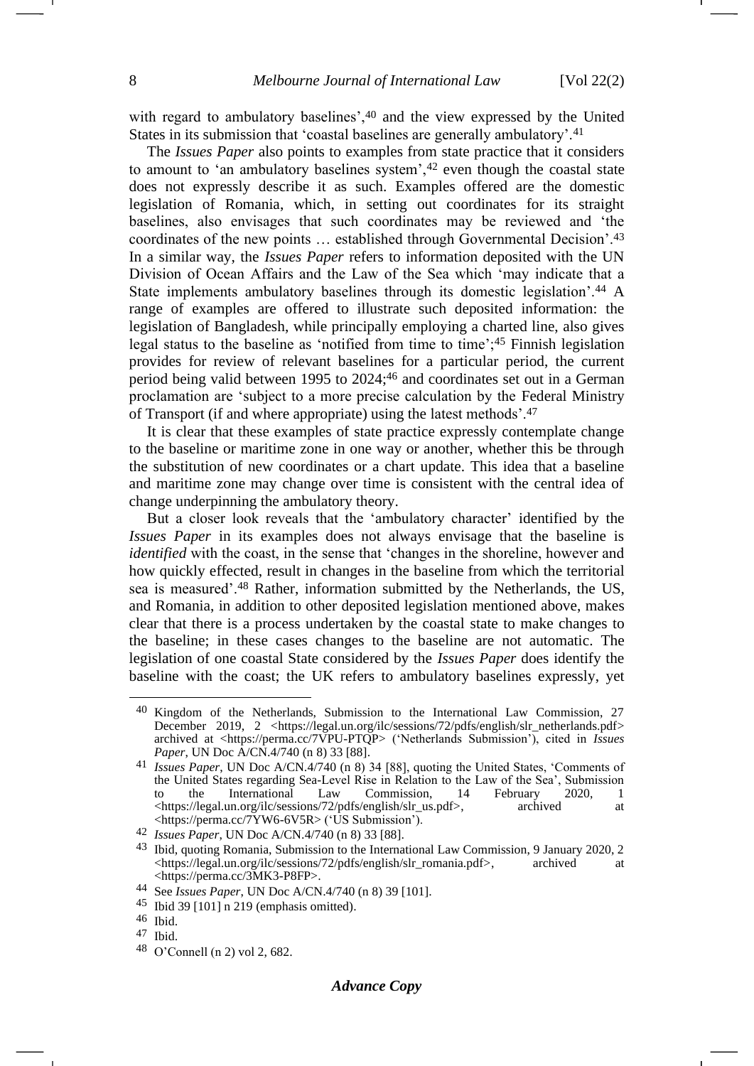<span id="page-7-1"></span>-

<span id="page-7-0"></span>with regard to ambulatory baselines',<sup>40</sup> and the view expressed by the United States in its submission that 'coastal baselines are generally ambulatory'.<sup>41</sup>

The *Issues Paper* also points to examples from state practice that it considers to amount to 'an ambulatory baselines system',<sup>42</sup> even though the coastal state does not expressly describe it as such. Examples offered are the domestic legislation of Romania, which, in setting out coordinates for its straight baselines, also envisages that such coordinates may be reviewed and 'the coordinates of the new points … established through Governmental Decision'.<sup>43</sup> In a similar way, the *Issues Paper* refers to information deposited with the UN Division of Ocean Affairs and the Law of the Sea which 'may indicate that a State implements ambulatory baselines through its domestic legislation'.<sup>44</sup> A range of examples are offered to illustrate such deposited information: the legislation of Bangladesh, while principally employing a charted line, also gives legal status to the baseline as 'notified from time to time';<sup>45</sup> Finnish legislation provides for review of relevant baselines for a particular period, the current period being valid between 1995 to 2024; <sup>46</sup> and coordinates set out in a German proclamation are 'subject to a more precise calculation by the Federal Ministry of Transport (if and where appropriate) using the latest methods'.<sup>47</sup>

It is clear that these examples of state practice expressly contemplate change to the baseline or maritime zone in one way or another, whether this be through the substitution of new coordinates or a chart update. This idea that a baseline and maritime zone may change over time is consistent with the central idea of change underpinning the ambulatory theory.

But a closer look reveals that the 'ambulatory character' identified by the *Issues Paper* in its examples does not always envisage that the baseline is *identified* with the coast, in the sense that 'changes in the shoreline, however and how quickly effected, result in changes in the baseline from which the territorial sea is measured'.<sup>48</sup> Rather, information submitted by the Netherlands, the US, and Romania, in addition to other deposited legislation mentioned above, makes clear that there is a process undertaken by the coastal state to make changes to the baseline; in these cases changes to the baseline are not automatic. The legislation of one coastal State considered by the *Issues Paper* does identify the baseline with the coast; the UK refers to ambulatory baselines expressly, yet

Kingdom of the Netherlands, Submission to the International Law Commission, 27 December 2019, 2 [<https://legal.un.org/ilc/sessions/72/pdfs/english/slr\\_netherlands.pdf>](https://legal.un.org/ilc/sessions/72/pdfs/english/slr_netherlands.pdf) archived at <https://perma.cc/7VPU-PTQP> ('Netherlands Submission'), cited in *Issues Paper*, UN Doc A/CN.4/740 (n [8\)](#page-1-2) 33 [88].

<sup>41</sup> *Issues Paper*, UN Doc A/CN.4/740 (n [8\)](#page-1-2) 34 [88], quoting the United States, 'Comments of the United States regarding Sea-Level Rise in Relation to the Law of the Sea', Submission<br>to the International Law Commission, 14 February 2020, 1 to the International Law Commission, 14 February 2020, 1 <https://legal.un.org/ilc/sessions/72/pdfs/english/slr\_us.pdf>, archived at <https://perma.cc/7YW6-6V5R> ('US Submission').

<sup>42</sup> *Issues Paper*, UN Doc A/CN.4/740 (n [8\)](#page-1-2) 33 [88].

<sup>43</sup> Ibid, quoting Romania, Submission to the International Law Commission, 9 January 2020, 2 <https://legal.un.org/ilc/sessions/72/pdfs/english/slr\_romania.pdf>, archived at <https://perma.cc/3MK3-P8FP>.

<sup>44</sup> See *Issues Paper*, UN Doc A/CN.4/740 (n [8\)](#page-1-2) 39 [101].

<sup>45</sup> Ibid 39 [101] n 219 (emphasis omitted).

<sup>46</sup> Ibid.

<sup>47</sup> Ibid.

<sup>48</sup> O'Connell (n [2\)](#page-1-1) vol 2, 682.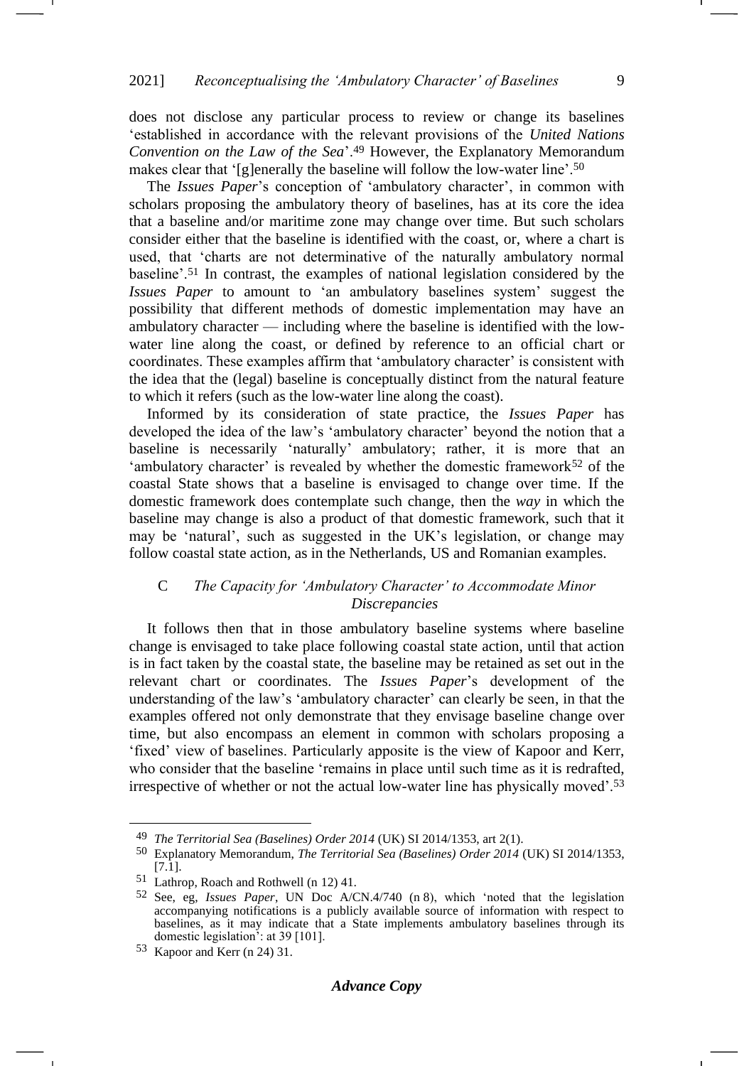does not disclose any particular process to review or change its baselines 'established in accordance with the relevant provisions of the *United Nations Convention on the Law of the Sea*'.<sup>49</sup> However, the Explanatory Memorandum makes clear that '[g]enerally the baseline will follow the low-water line'.<sup>50</sup>

The *Issues Paper*'s conception of 'ambulatory character', in common with scholars proposing the ambulatory theory of baselines, has at its core the idea that a baseline and/or maritime zone may change over time. But such scholars consider either that the baseline is identified with the coast, or, where a chart is used, that 'charts are not determinative of the naturally ambulatory normal baseline'.<sup>51</sup> In contrast, the examples of national legislation considered by the *Issues Paper* to amount to 'an ambulatory baselines system' suggest the possibility that different methods of domestic implementation may have an ambulatory character — including where the baseline is identified with the lowwater line along the coast, or defined by reference to an official chart or coordinates. These examples affirm that 'ambulatory character' is consistent with the idea that the (legal) baseline is conceptually distinct from the natural feature to which it refers (such as the low-water line along the coast).

Informed by its consideration of state practice, the *Issues Paper* has developed the idea of the law's 'ambulatory character' beyond the notion that a baseline is necessarily 'naturally' ambulatory; rather, it is more that an 'ambulatory character' is revealed by whether the domestic framework $52$  of the coastal State shows that a baseline is envisaged to change over time. If the domestic framework does contemplate such change, then the *way* in which the baseline may change is also a product of that domestic framework, such that it may be 'natural', such as suggested in the UK's legislation, or change may follow coastal state action, as in the Netherlands, US and Romanian examples.

# C *The Capacity for 'Ambulatory Character' to Accommodate Minor Discrepancies*

It follows then that in those ambulatory baseline systems where baseline change is envisaged to take place following coastal state action, until that action is in fact taken by the coastal state, the baseline may be retained as set out in the relevant chart or coordinates. The *Issues Paper*'s development of the understanding of the law's 'ambulatory character' can clearly be seen, in that the examples offered not only demonstrate that they envisage baseline change over time, but also encompass an element in common with scholars proposing a 'fixed' view of baselines. Particularly apposite is the view of Kapoor and Kerr, who consider that the baseline 'remains in place until such time as it is redrafted, irrespective of whether or not the actual low-water line has physically moved'.<sup>53</sup>

<sup>49</sup> *The Territorial Sea (Baselines) Order 2014* (UK) SI 2014/1353, art 2(1).

<sup>50</sup> Explanatory Memorandum, *The Territorial Sea (Baselines) Order 2014* (UK) SI 2014/1353, [7.1].

<sup>51</sup> Lathrop, Roach and Rothwell (n [12\)](#page-3-1) 41.

<sup>52</sup> See, eg, *Issues Paper*, UN Doc A/CN.4/740 (n [8\)](#page-1-2), which 'noted that the legislation accompanying notifications is a publicly available source of information with respect to baselines, as it may indicate that a State implements ambulatory baselines through its domestic legislation': at 39 [101].

<sup>53</sup> Kapoor and Kerr (n [24\)](#page-5-0) 31.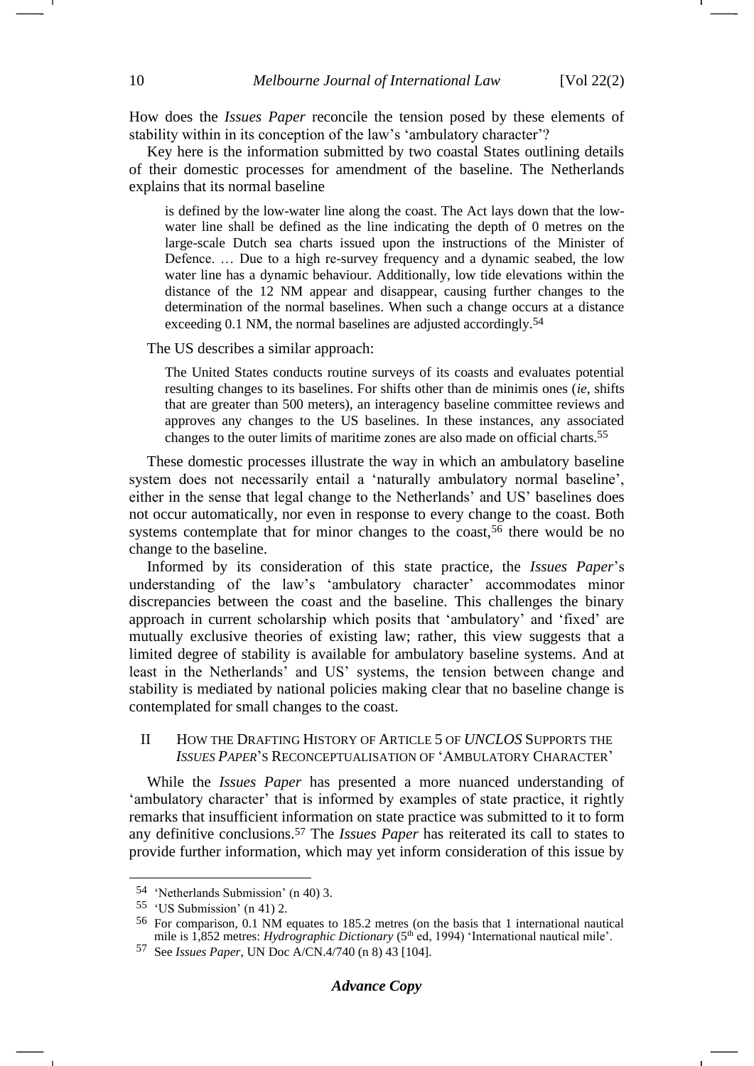How does the *Issues Paper* reconcile the tension posed by these elements of stability within in its conception of the law's 'ambulatory character'?

Key here is the information submitted by two coastal States outlining details of their domestic processes for amendment of the baseline. The Netherlands explains that its normal baseline

is defined by the low-water line along the coast. The Act lays down that the lowwater line shall be defined as the line indicating the depth of 0 metres on the large-scale Dutch sea charts issued upon the instructions of the Minister of Defence. … Due to a high re-survey frequency and a dynamic seabed, the low water line has a dynamic behaviour. Additionally, low tide elevations within the distance of the 12 NM appear and disappear, causing further changes to the determination of the normal baselines. When such a change occurs at a distance exceeding 0.1 NM, the normal baselines are adjusted accordingly.54

The US describes a similar approach:

<span id="page-9-0"></span>The United States conducts routine surveys of its coasts and evaluates potential resulting changes to its baselines. For shifts other than de minimis ones (*ie*, shifts that are greater than 500 meters), an interagency baseline committee reviews and approves any changes to the US baselines. In these instances, any associated changes to the outer limits of maritime zones are also made on official charts.55

These domestic processes illustrate the way in which an ambulatory baseline system does not necessarily entail a 'naturally ambulatory normal baseline', either in the sense that legal change to the Netherlands' and US' baselines does not occur automatically, nor even in response to every change to the coast. Both systems contemplate that for minor changes to the coast,<sup>56</sup> there would be no change to the baseline.

Informed by its consideration of this state practice, the *Issues Paper*'s understanding of the law's 'ambulatory character' accommodates minor discrepancies between the coast and the baseline. This challenges the binary approach in current scholarship which posits that 'ambulatory' and 'fixed' are mutually exclusive theories of existing law; rather, this view suggests that a limited degree of stability is available for ambulatory baseline systems. And at least in the Netherlands' and US' systems, the tension between change and stability is mediated by national policies making clear that no baseline change is contemplated for small changes to the coast.

### II HOW THE DRAFTING HISTORY OF ARTICLE 5 OF *UNCLOS* SUPPORTS THE *ISSUES PAPER*'S RECONCEPTUALISATION OF 'AMBULATORY CHARACTER'

While the *Issues Paper* has presented a more nuanced understanding of 'ambulatory character' that is informed by examples of state practice, it rightly remarks that insufficient information on state practice was submitted to it to form any definitive conclusions.<sup>57</sup> The *Issues Paper* has reiterated its call to states to provide further information, which may yet inform consideration of this issue by

<sup>54</sup> 'Netherlands Submission' (n [40\)](#page-7-0) 3.

<sup>55</sup> 'US Submission' (n [41\)](#page-7-1) 2.

<sup>56</sup> For comparison, 0.1 NM equates to 185.2 metres (on the basis that 1 international nautical mile is 1,852 metres: *Hydrographic Dictionary* (5<sup>th</sup> ed, 1994) 'International nautical mile'.

<sup>57</sup> See *Issues Paper*, UN Doc A/CN.4/740 (n [8\)](#page-1-2) 43 [104].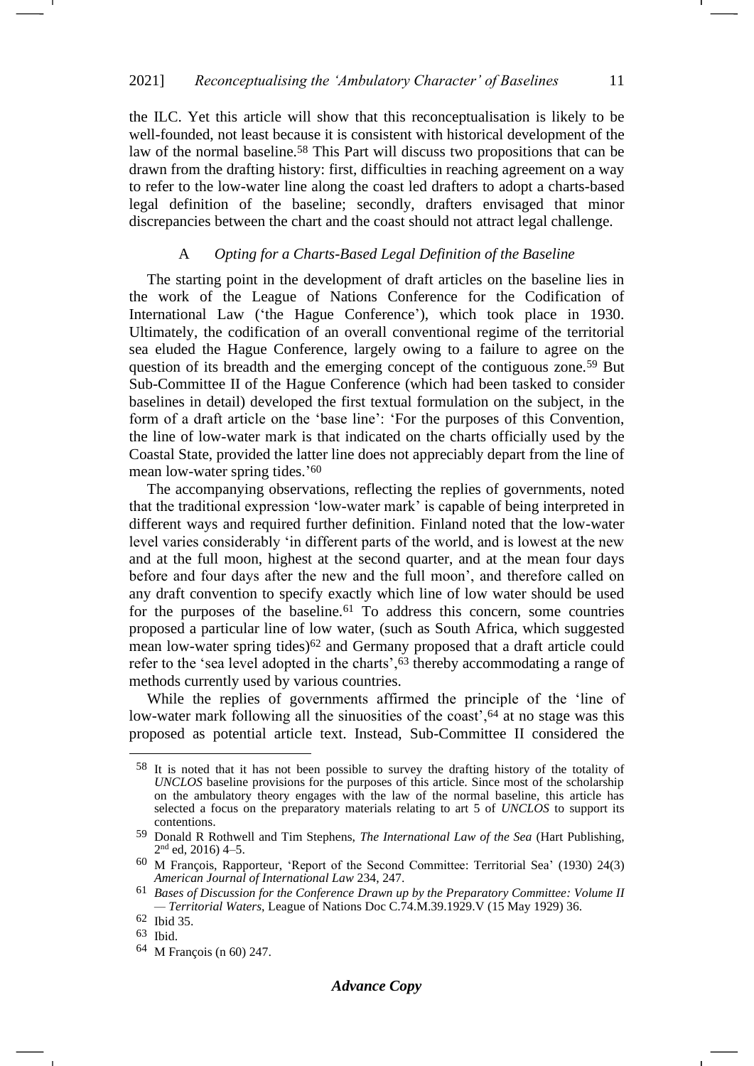the ILC. Yet this article will show that this reconceptualisation is likely to be well-founded, not least because it is consistent with historical development of the law of the normal baseline.<sup>58</sup> This Part will discuss two propositions that can be drawn from the drafting history: first, difficulties in reaching agreement on a way to refer to the low-water line along the coast led drafters to adopt a charts-based legal definition of the baseline; secondly, drafters envisaged that minor discrepancies between the chart and the coast should not attract legal challenge.

### A *Opting for a Charts-Based Legal Definition of the Baseline*

The starting point in the development of draft articles on the baseline lies in the work of the League of Nations Conference for the Codification of International Law ('the Hague Conference'), which took place in 1930. Ultimately, the codification of an overall conventional regime of the territorial sea eluded the Hague Conference, largely owing to a failure to agree on the question of its breadth and the emerging concept of the contiguous zone.<sup>59</sup> But Sub-Committee II of the Hague Conference (which had been tasked to consider baselines in detail) developed the first textual formulation on the subject, in the form of a draft article on the 'base line': 'For the purposes of this Convention, the line of low-water mark is that indicated on the charts officially used by the Coastal State, provided the latter line does not appreciably depart from the line of mean low-water spring tides.' 60

<span id="page-10-0"></span>The accompanying observations, reflecting the replies of governments, noted that the traditional expression 'low-water mark' is capable of being interpreted in different ways and required further definition. Finland noted that the low-water level varies considerably 'in different parts of the world, and is lowest at the new and at the full moon, highest at the second quarter, and at the mean four days before and four days after the new and the full moon', and therefore called on any draft convention to specify exactly which line of low water should be used for the purposes of the baseline.<sup>61</sup> To address this concern, some countries proposed a particular line of low water, (such as South Africa, which suggested mean low-water spring tides)<sup>62</sup> and Germany proposed that a draft article could refer to the 'sea level adopted in the charts',<sup>63</sup> thereby accommodating a range of methods currently used by various countries.

While the replies of governments affirmed the principle of the 'line of low-water mark following all the sinuosities of the coast',<sup>64</sup> at no stage was this proposed as potential article text. Instead, Sub-Committee II considered the

<sup>58</sup> It is noted that it has not been possible to survey the drafting history of the totality of *UNCLOS* baseline provisions for the purposes of this article. Since most of the scholarship on the ambulatory theory engages with the law of the normal baseline, this article has selected a focus on the preparatory materials relating to art 5 of *UNCLOS* to support its contentions.

<sup>59</sup> Donald R Rothwell and Tim Stephens, *The International Law of the Sea* (Hart Publishing,  $2<sup>nd</sup>$  ed, 2016) 4–5.

<sup>60</sup> M François, Rapporteur, 'Report of the Second Committee: Territorial Sea' (1930) 24(3) *American Journal of International Law* 234, 247.

<sup>61</sup> *Bases of Discussion for the Conference Drawn up by the Preparatory Committee: Volume II — Territorial Waters*, League of Nations Doc C.74.M.39.1929.V (15 May 1929) 36.

<sup>62</sup> Ibid 35.

<sup>63</sup> Ibid.

<sup>64</sup> M François (n [60\)](#page-10-0) 247.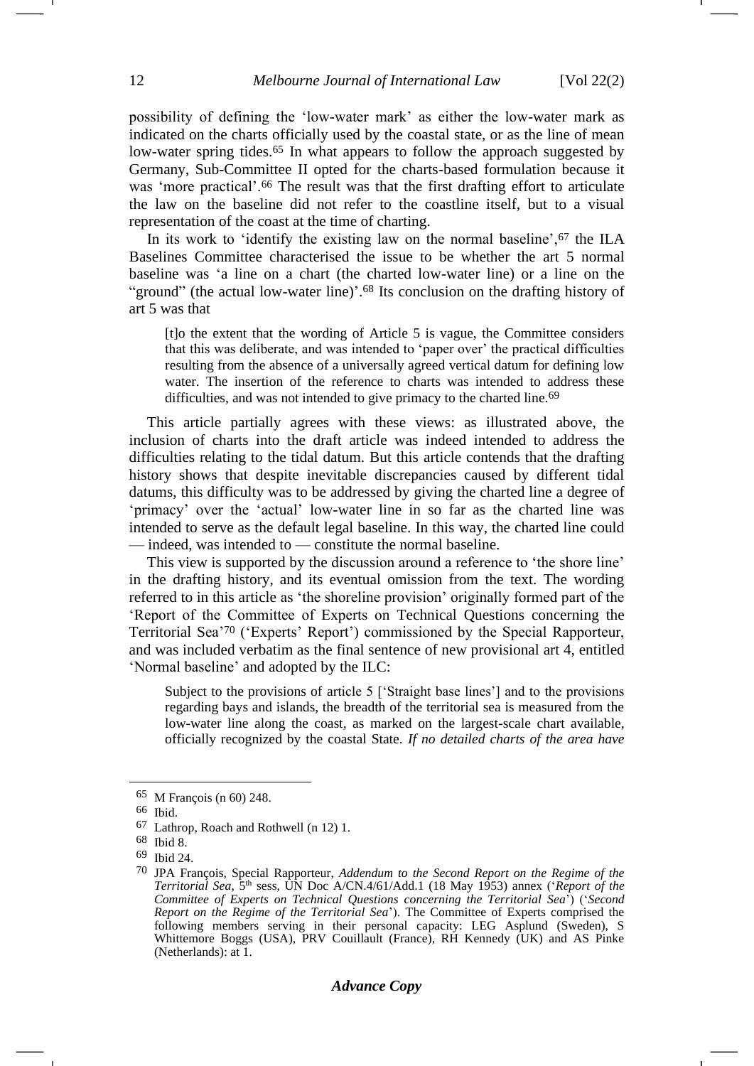possibility of defining the 'low-water mark' as either the low-water mark as indicated on the charts officially used by the coastal state, or as the line of mean low-water spring tides.<sup>65</sup> In what appears to follow the approach suggested by Germany, Sub-Committee II opted for the charts-based formulation because it was 'more practical'.<sup>66</sup> The result was that the first drafting effort to articulate the law on the baseline did not refer to the coastline itself, but to a visual representation of the coast at the time of charting.

In its work to 'identify the existing law on the normal baseline',<sup>67</sup> the ILA Baselines Committee characterised the issue to be whether the art 5 normal baseline was 'a line on a chart (the charted low-water line) or a line on the "ground" (the actual low-water line)'.<sup>68</sup> Its conclusion on the drafting history of art 5 was that

[t]o the extent that the wording of Article 5 is vague, the Committee considers that this was deliberate, and was intended to 'paper over' the practical difficulties resulting from the absence of a universally agreed vertical datum for defining low water. The insertion of the reference to charts was intended to address these difficulties, and was not intended to give primacy to the charted line.<sup>69</sup>

This article partially agrees with these views: as illustrated above, the inclusion of charts into the draft article was indeed intended to address the difficulties relating to the tidal datum. But this article contends that the drafting history shows that despite inevitable discrepancies caused by different tidal datums, this difficulty was to be addressed by giving the charted line a degree of 'primacy' over the 'actual' low-water line in so far as the charted line was intended to serve as the default legal baseline. In this way, the charted line could — indeed, was intended to — constitute the normal baseline.

This view is supported by the discussion around a reference to 'the shore line' in the drafting history, and its eventual omission from the text. The wording referred to in this article as 'the shoreline provision' originally formed part of the 'Report of the Committee of Experts on Technical Questions concerning the Territorial Sea'<sup>70</sup> ('Experts' Report') commissioned by the Special Rapporteur, and was included verbatim as the final sentence of new provisional art 4, entitled 'Normal baseline' and adopted by the ILC:

<span id="page-11-0"></span>Subject to the provisions of article 5 ['Straight base lines'] and to the provisions regarding bays and islands, the breadth of the territorial sea is measured from the low-water line along the coast, as marked on the largest-scale chart available, officially recognized by the coastal State. *If no detailed charts of the area have* 

<sup>65</sup> M François (n [60\)](#page-10-0) 248.

<sup>66</sup> Ibid.

<sup>67</sup> Lathrop, Roach and Rothwell (n [12\)](#page-3-1) 1.

<sup>68</sup> Ibid 8.

<sup>69</sup> Ibid 24.

<sup>70</sup> JPA François, Special Rapporteur, *Addendum to the Second Report on the Regime of the Territorial Sea*, 5th sess, UN Doc A/CN.4/61/Add.1 (18 May 1953) annex ('*Report of the Committee of Experts on Technical Questions concerning the Territorial Sea*') ('*Second Report on the Regime of the Territorial Sea*'). The Committee of Experts comprised the following members serving in their personal capacity: LEG Asplund (Sweden), S Whittemore Boggs (USA), PRV Couillault (France), RH Kennedy (UK) and AS Pinke (Netherlands): at 1.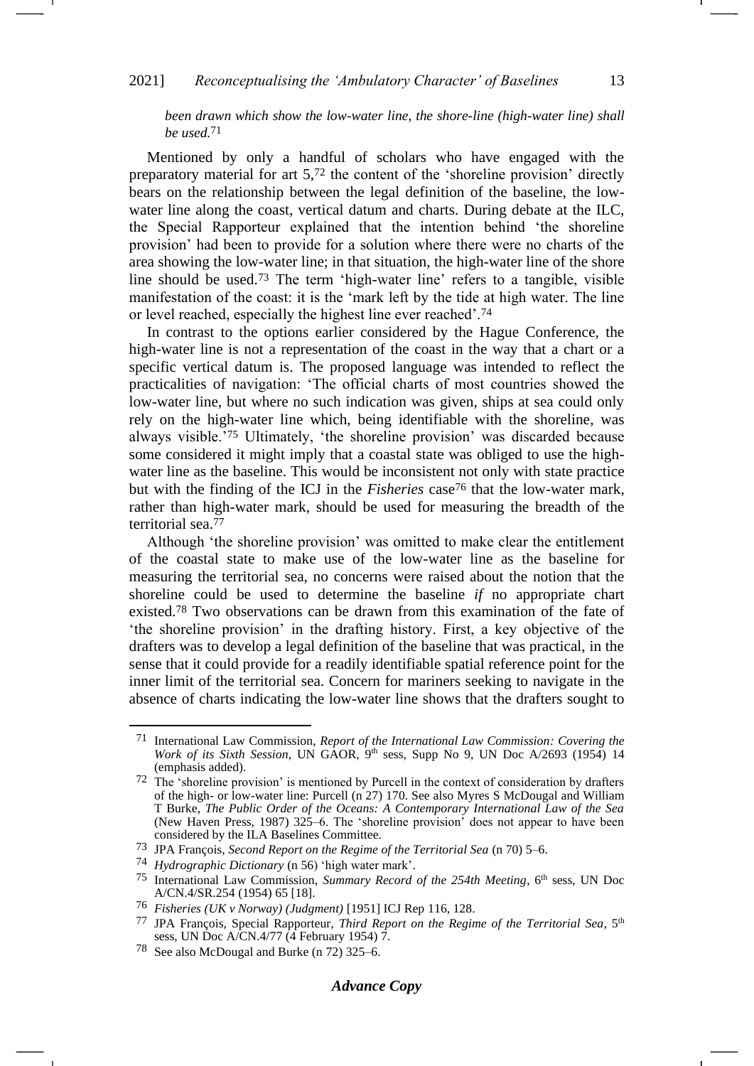### 2021] *Reconceptualising the 'Ambulatory Character' of Baselines* 13

<span id="page-12-0"></span>*been drawn which show the low-water line, the shore-line (high-water line) shall be used.*71

Mentioned by only a handful of scholars who have engaged with the preparatory material for art 5,<sup>72</sup> the content of the 'shoreline provision' directly bears on the relationship between the legal definition of the baseline, the lowwater line along the coast, vertical datum and charts. During debate at the ILC, the Special Rapporteur explained that the intention behind 'the shoreline provision' had been to provide for a solution where there were no charts of the area showing the low-water line; in that situation, the high-water line of the shore line should be used.<sup>73</sup> The term 'high-water line' refers to a tangible, visible manifestation of the coast: it is the 'mark left by the tide at high water. The line or level reached, especially the highest line ever reached'.<sup>74</sup>

<span id="page-12-1"></span>In contrast to the options earlier considered by the Hague Conference, the high-water line is not a representation of the coast in the way that a chart or a specific vertical datum is. The proposed language was intended to reflect the practicalities of navigation: 'The official charts of most countries showed the low-water line, but where no such indication was given, ships at sea could only rely on the high-water line which, being identifiable with the shoreline, was always visible.'<sup>75</sup> Ultimately, 'the shoreline provision' was discarded because some considered it might imply that a coastal state was obliged to use the highwater line as the baseline. This would be inconsistent not only with state practice but with the finding of the ICJ in the *Fisheries* case<sup>76</sup> that the low-water mark, rather than high-water mark, should be used for measuring the breadth of the territorial sea.<sup>77</sup>

Although 'the shoreline provision' was omitted to make clear the entitlement of the coastal state to make use of the low-water line as the baseline for measuring the territorial sea, no concerns were raised about the notion that the shoreline could be used to determine the baseline *if* no appropriate chart existed.<sup>78</sup> Two observations can be drawn from this examination of the fate of 'the shoreline provision' in the drafting history. First, a key objective of the drafters was to develop a legal definition of the baseline that was practical, in the sense that it could provide for a readily identifiable spatial reference point for the inner limit of the territorial sea. Concern for mariners seeking to navigate in the absence of charts indicating the low-water line shows that the drafters sought to

<sup>71</sup> International Law Commission, *Report of the International Law Commission: Covering the Work of its Sixth Session*, UN GAOR, 9th sess, Supp No 9, UN Doc A/2693 (1954) 14 (emphasis added).

<sup>72</sup> The 'shoreline provision' is mentioned by Purcell in the context of consideration by drafters of the high- or low-water line: Purcell (n [27\)](#page-5-1) 170. See also Myres S McDougal and William T Burke, *The Public Order of the Oceans: A Contemporary International Law of the Sea* (New Haven Press, 1987) 325–6. The 'shoreline provision' does not appear to have been considered by the ILA Baselines Committee.

<sup>73</sup> JPA François, *Second Report on the Regime of the Territorial Sea* (n [70\)](#page-11-0) 5–6.

<sup>74</sup> *Hydrographic Dictionary* (n [56\)](#page-9-0) 'high water mark'.

<sup>&</sup>lt;sup>75</sup> International Law Commission, *Summary Record of the 254th Meeting*, 6<sup>th</sup> sess, UN Doc A/CN.4/SR.254 (1954) 65 [18].

<sup>76</sup> *Fisheries (UK v Norway) (Judgment)* [1951] ICJ Rep 116, 128.

<sup>77</sup> JPA François, Special Rapporteur, *Third Report on the Regime of the Territorial Sea*, 5th sess, UN Doc A/CN.4/77 (4 February 1954) 7.

<sup>78</sup> See also McDougal and Burke (n [72\)](#page-12-0) 325–6.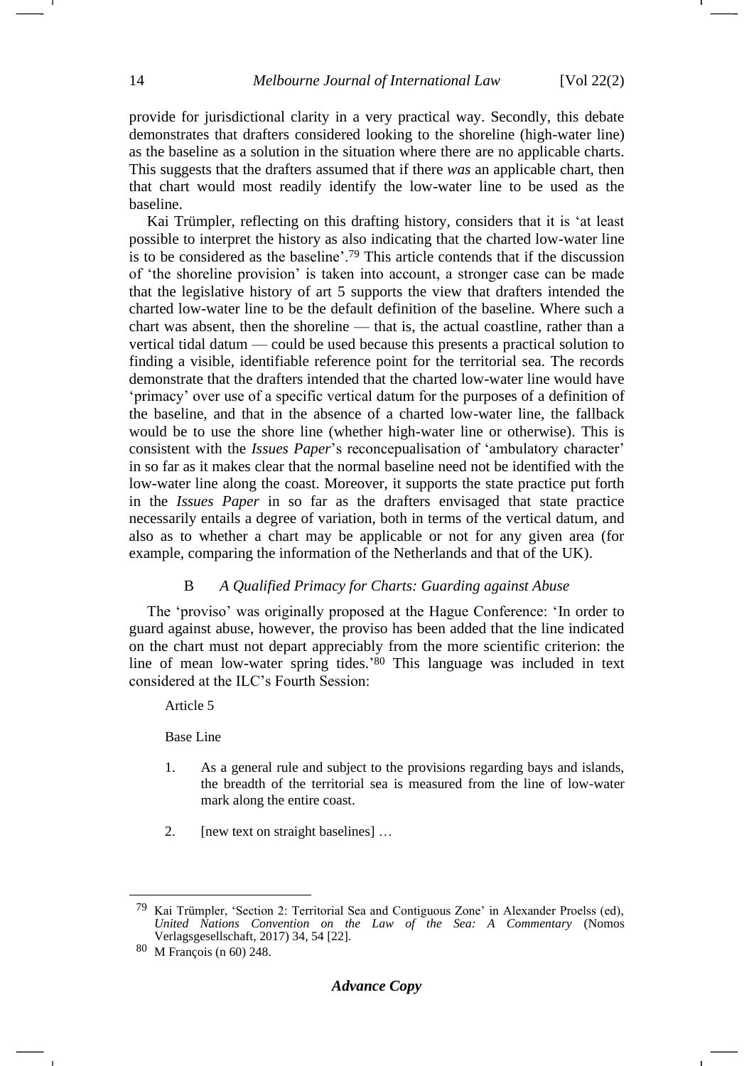provide for jurisdictional clarity in a very practical way. Secondly, this debate demonstrates that drafters considered looking to the shoreline (high-water line) as the baseline as a solution in the situation where there are no applicable charts. This suggests that the drafters assumed that if there *was* an applicable chart, then that chart would most readily identify the low-water line to be used as the baseline.

Kai Trümpler, reflecting on this drafting history, considers that it is 'at least possible to interpret the history as also indicating that the charted low-water line is to be considered as the baseline'.<sup>79</sup> This article contends that if the discussion of 'the shoreline provision' is taken into account, a stronger case can be made that the legislative history of art 5 supports the view that drafters intended the charted low-water line to be the default definition of the baseline. Where such a chart was absent, then the shoreline — that is, the actual coastline, rather than a vertical tidal datum — could be used because this presents a practical solution to finding a visible, identifiable reference point for the territorial sea. The records demonstrate that the drafters intended that the charted low-water line would have 'primacy' over use of a specific vertical datum for the purposes of a definition of the baseline, and that in the absence of a charted low-water line, the fallback would be to use the shore line (whether high-water line or otherwise). This is consistent with the *Issues Paper*'s reconcepualisation of 'ambulatory character' in so far as it makes clear that the normal baseline need not be identified with the low-water line along the coast. Moreover, it supports the state practice put forth in the *Issues Paper* in so far as the drafters envisaged that state practice necessarily entails a degree of variation, both in terms of the vertical datum, and also as to whether a chart may be applicable or not for any given area (for example, comparing the information of the Netherlands and that of the UK).

#### B *A Qualified Primacy for Charts: Guarding against Abuse*

The 'proviso' was originally proposed at the Hague Conference: 'In order to guard against abuse, however, the proviso has been added that the line indicated on the chart must not depart appreciably from the more scientific criterion: the line of mean low-water spring tides.' <sup>80</sup> This language was included in text considered at the ILC's Fourth Session:

Article 5

Base Line

- 1. As a general rule and subject to the provisions regarding bays and islands, the breadth of the territorial sea is measured from the line of low-water mark along the entire coast.
- 2. [new text on straight baselines] …

Kai Trümpler, 'Section 2: Territorial Sea and Contiguous Zone' in Alexander Proelss (ed), *United Nations Convention on the Law of the Sea: A Commentary* (Nomos Verlagsgesellschaft, 2017) 34, 54 [22].

<sup>80</sup> M François (n [60\)](#page-10-0) 248.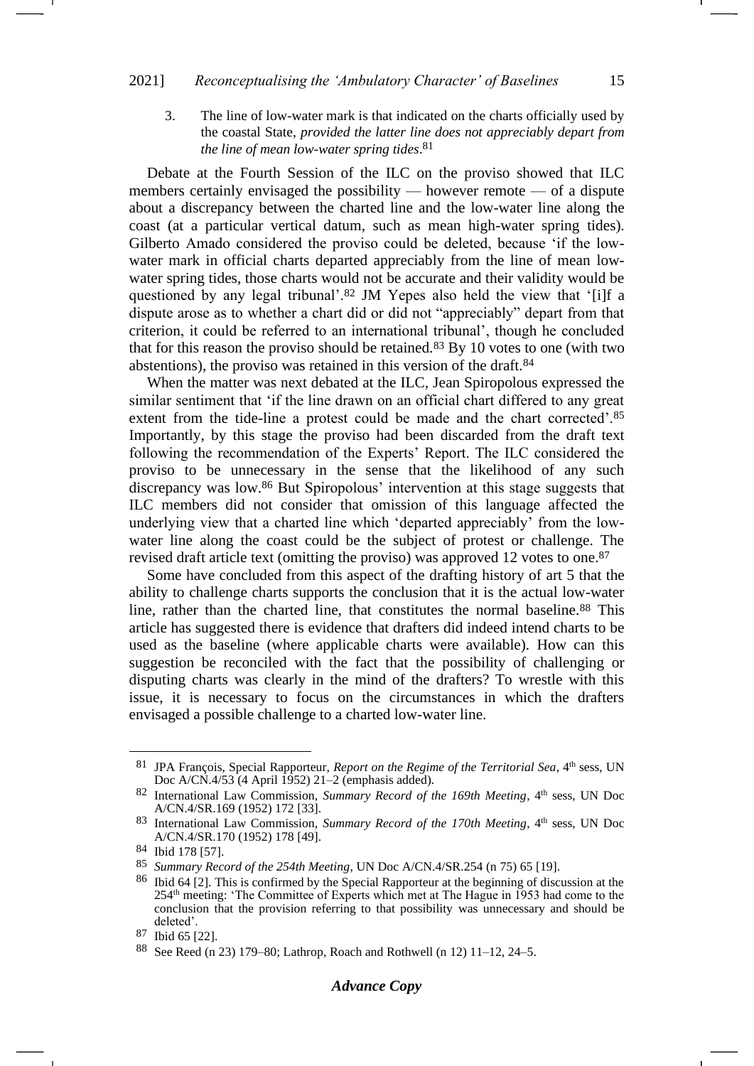3. The line of low-water mark is that indicated on the charts officially used by the coastal State, *provided the latter line does not appreciably depart from the line of mean low-water spring tides*. 81

Debate at the Fourth Session of the ILC on the proviso showed that ILC members certainly envisaged the possibility — however remote — of a dispute about a discrepancy between the charted line and the low-water line along the coast (at a particular vertical datum, such as mean high-water spring tides). Gilberto Amado considered the proviso could be deleted, because 'if the lowwater mark in official charts departed appreciably from the line of mean lowwater spring tides, those charts would not be accurate and their validity would be questioned by any legal tribunal'.<sup>82</sup> JM Yepes also held the view that '[i]f a dispute arose as to whether a chart did or did not "appreciably" depart from that criterion, it could be referred to an international tribunal', though he concluded that for this reason the proviso should be retained.<sup>83</sup> By 10 votes to one (with two abstentions), the proviso was retained in this version of the draft.<sup>84</sup>

When the matter was next debated at the ILC, Jean Spiropolous expressed the similar sentiment that 'if the line drawn on an official chart differed to any great extent from the tide-line a protest could be made and the chart corrected'.<sup>85</sup> Importantly, by this stage the proviso had been discarded from the draft text following the recommendation of the Experts' Report. The ILC considered the proviso to be unnecessary in the sense that the likelihood of any such discrepancy was low.<sup>86</sup> But Spiropolous' intervention at this stage suggests that ILC members did not consider that omission of this language affected the underlying view that a charted line which 'departed appreciably' from the lowwater line along the coast could be the subject of protest or challenge. The revised draft article text (omitting the proviso) was approved 12 votes to one. 87

Some have concluded from this aspect of the drafting history of art 5 that the ability to challenge charts supports the conclusion that it is the actual low-water line, rather than the charted line, that constitutes the normal baseline.<sup>88</sup> This article has suggested there is evidence that drafters did indeed intend charts to be used as the baseline (where applicable charts were available). How can this suggestion be reconciled with the fact that the possibility of challenging or disputing charts was clearly in the mind of the drafters? To wrestle with this issue, it is necessary to focus on the circumstances in which the drafters envisaged a possible challenge to a charted low-water line.

<sup>81</sup> JPA François, Special Rapporteur, *Report on the Regime of the Territorial Sea*, 4<sup>th</sup> sess, UN Doc A/CN.4/53 (4 April 1952) 21–2 (emphasis added).

<sup>82</sup> International Law Commission, *Summary Record of the 169th Meeting*, 4<sup>th</sup> sess, UN Doc A/CN.4/SR.169 (1952) 172 [33].

<sup>83</sup> International Law Commission, *Summary Record of the 170th Meeting*, 4<sup>th</sup> sess, UN Doc A/CN.4/SR.170 (1952) 178 [49].

<sup>84</sup> Ibid 178 [57].

<sup>85</sup> *Summary Record of the 254th Meeting*, UN Doc A/CN.4/SR.254 (n [75\)](#page-12-1) 65 [19].

<sup>86</sup> Ibid 64 [2]. This is confirmed by the Special Rapporteur at the beginning of discussion at the 254th meeting: 'The Committee of Experts which met at The Hague in 1953 had come to the conclusion that the provision referring to that possibility was unnecessary and should be deleted'.

<sup>87</sup> Ibid 65 [22].

<sup>88</sup> See Reed (n [23\)](#page-4-2) 179–80; Lathrop, Roach and Rothwell (n [12\)](#page-3-1) 11–12, 24–5.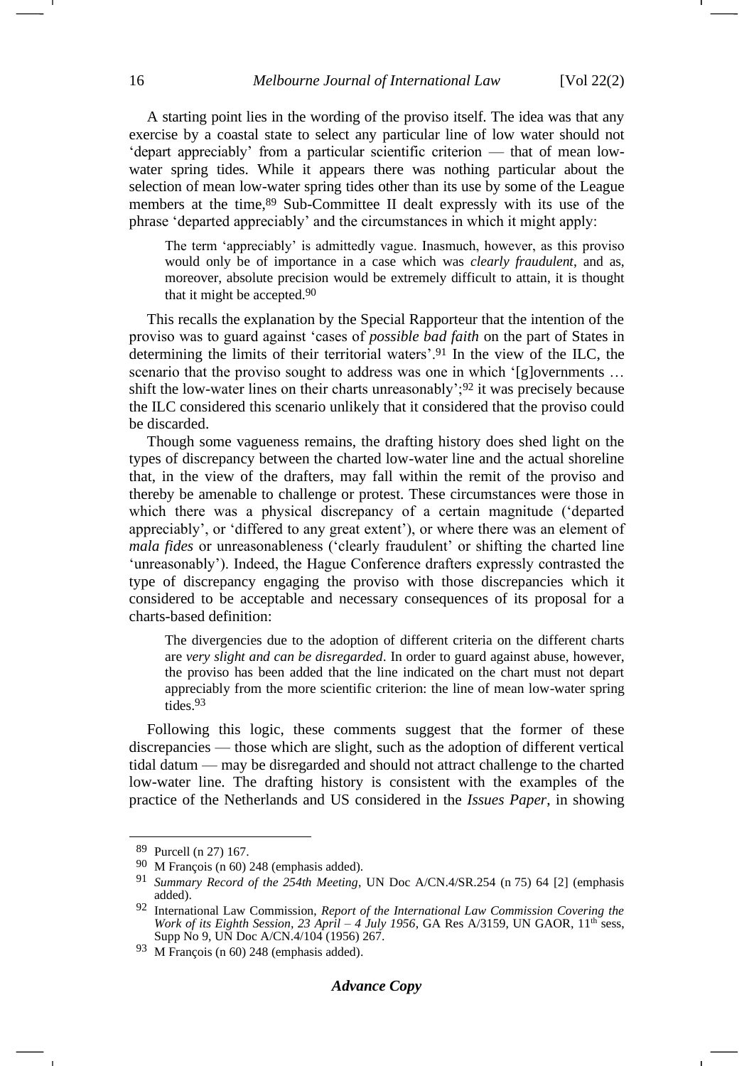A starting point lies in the wording of the proviso itself. The idea was that any exercise by a coastal state to select any particular line of low water should not 'depart appreciably' from a particular scientific criterion — that of mean lowwater spring tides. While it appears there was nothing particular about the selection of mean low-water spring tides other than its use by some of the League members at the time, <sup>89</sup> Sub-Committee II dealt expressly with its use of the phrase 'departed appreciably' and the circumstances in which it might apply:

The term 'appreciably' is admittedly vague. Inasmuch, however, as this proviso would only be of importance in a case which was *clearly fraudulent*, and as, moreover, absolute precision would be extremely difficult to attain, it is thought that it might be accepted.90

This recalls the explanation by the Special Rapporteur that the intention of the proviso was to guard against 'cases of *possible bad faith* on the part of States in determining the limits of their territorial waters'.<sup>91</sup> In the view of the ILC, the scenario that the proviso sought to address was one in which '[g]overnments ... shift the low-water lines on their charts unreasonably'; $92$  it was precisely because the ILC considered this scenario unlikely that it considered that the proviso could be discarded.

Though some vagueness remains, the drafting history does shed light on the types of discrepancy between the charted low-water line and the actual shoreline that, in the view of the drafters, may fall within the remit of the proviso and thereby be amenable to challenge or protest. These circumstances were those in which there was a physical discrepancy of a certain magnitude ('departed appreciably', or 'differed to any great extent'), or where there was an element of *mala fides* or unreasonableness ('clearly fraudulent' or shifting the charted line 'unreasonably'). Indeed, the Hague Conference drafters expressly contrasted the type of discrepancy engaging the proviso with those discrepancies which it considered to be acceptable and necessary consequences of its proposal for a charts-based definition:

The divergencies due to the adoption of different criteria on the different charts are *very slight and can be disregarded*. In order to guard against abuse, however, the proviso has been added that the line indicated on the chart must not depart appreciably from the more scientific criterion: the line of mean low-water spring tides.93

Following this logic, these comments suggest that the former of these discrepancies — those which are slight, such as the adoption of different vertical tidal datum — may be disregarded and should not attract challenge to the charted low-water line. The drafting history is consistent with the examples of the practice of the Netherlands and US considered in the *Issues Paper*, in showing

<sup>89</sup> Purcell (n [27\)](#page-5-1) 167.

<sup>90</sup> M François (n [60\)](#page-10-0) 248 (emphasis added).

<sup>91</sup> *Summary Record of the 254th Meeting*, UN Doc A/CN.4/SR.254 (n [75\)](#page-12-1) 64 [2] (emphasis added).

<sup>92</sup> International Law Commission, *Report of the International Law Commission Covering the Work of its Eighth Session, 23 April – 4 July 1956, GA Res A/3159, UN GAOR, 11<sup>th</sup> sess,* Supp No 9, UN Doc A/CN.4/104 (1956) 267.

<sup>93</sup> M François (n [60\)](#page-10-0) 248 (emphasis added).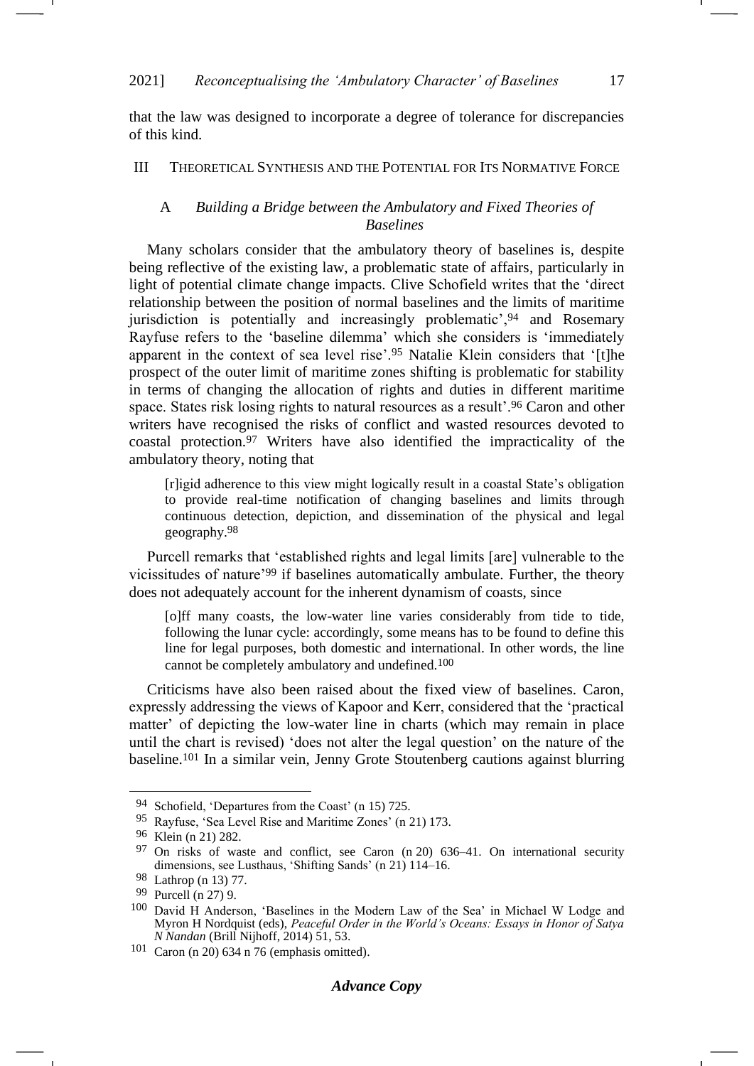that the law was designed to incorporate a degree of tolerance for discrepancies of this kind.

### III THEORETICAL SYNTHESIS AND THE POTENTIAL FOR ITS NORMATIVE FORCE

### <span id="page-16-0"></span>A *Building a Bridge between the Ambulatory and Fixed Theories of Baselines*

Many scholars consider that the ambulatory theory of baselines is, despite being reflective of the existing law, a problematic state of affairs, particularly in light of potential climate change impacts. Clive Schofield writes that the 'direct relationship between the position of normal baselines and the limits of maritime jurisdiction is potentially and increasingly problematic', <sup>94</sup> and Rosemary Rayfuse refers to the 'baseline dilemma' which she considers is 'immediately apparent in the context of sea level rise'.<sup>95</sup> Natalie Klein considers that '[t]he prospect of the outer limit of maritime zones shifting is problematic for stability in terms of changing the allocation of rights and duties in different maritime space. States risk losing rights to natural resources as a result'.<sup>96</sup> Caron and other writers have recognised the risks of conflict and wasted resources devoted to coastal protection.<sup>97</sup> Writers have also identified the impracticality of the ambulatory theory, noting that

[r]igid adherence to this view might logically result in a coastal State's obligation to provide real-time notification of changing baselines and limits through continuous detection, depiction, and dissemination of the physical and legal geography.98

Purcell remarks that 'established rights and legal limits [are] vulnerable to the vicissitudes of nature'<sup>99</sup> if baselines automatically ambulate. Further, the theory does not adequately account for the inherent dynamism of coasts, since

[o]ff many coasts, the low-water line varies considerably from tide to tide, following the lunar cycle: accordingly, some means has to be found to define this line for legal purposes, both domestic and international. In other words, the line cannot be completely ambulatory and undefined.100

Criticisms have also been raised about the fixed view of baselines. Caron, expressly addressing the views of Kapoor and Kerr, considered that the 'practical matter' of depicting the low-water line in charts (which may remain in place until the chart is revised) 'does not alter the legal question' on the nature of the baseline.<sup>101</sup> In a similar vein, Jenny Grote Stoutenberg cautions against blurring

<sup>94</sup> Schofield, 'Departures from the Coast' (n [15\)](#page-3-0) 725.

<sup>95</sup> Rayfuse, 'Sea Level Rise and Maritime Zones' (n [21\)](#page-4-1) 173.

<sup>96</sup> Klein (n [21\)](#page-4-1) 282.

<sup>97</sup> On risks of waste and conflict, see Caron (n [20\)](#page-4-0) 636–41. On international security dimensions, see Lusthaus, 'Shifting Sands' (n [21\)](#page-4-1) 114–16.

<sup>98</sup> Lathrop (n [13\)](#page-3-3) 77.

<sup>99</sup> Purcell (n [27\)](#page-5-1) 9.

<sup>100</sup> David H Anderson, 'Baselines in the Modern Law of the Sea' in Michael W Lodge and Myron H Nordquist (eds), *Peaceful Order in the World's Oceans: Essays in Honor of Satya N Nandan* (Brill Nijhoff, 2014) 51, 53.

<sup>101</sup> Caron (n [20\)](#page-4-0) 634 n 76 (emphasis omitted).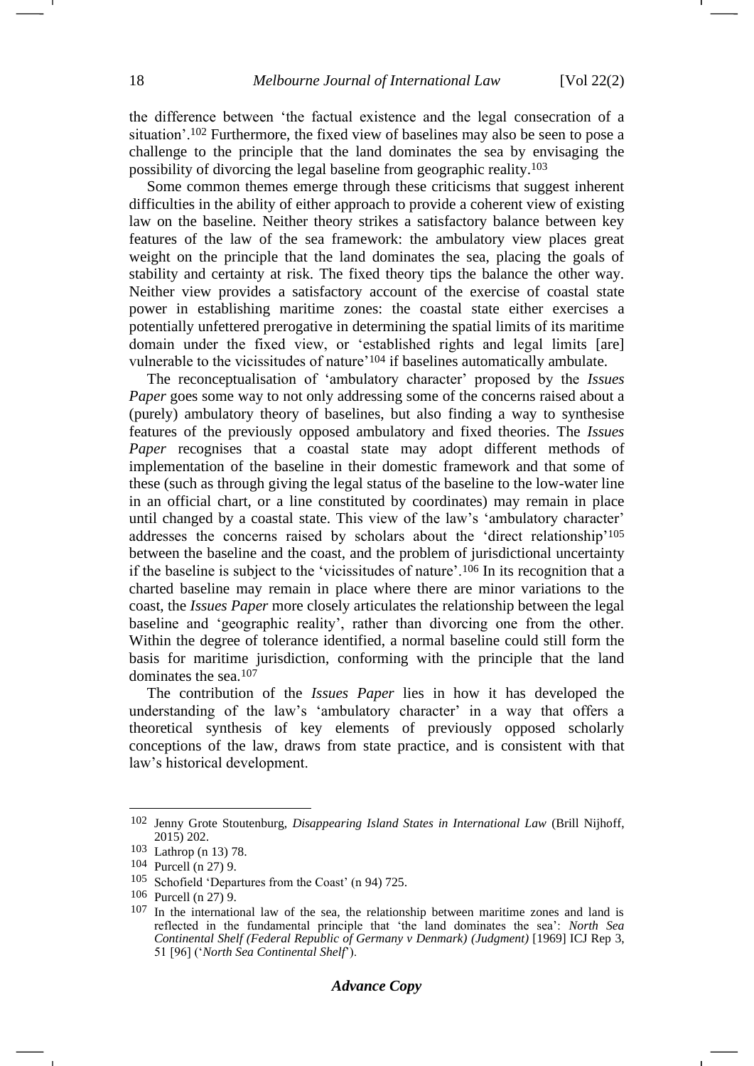the difference between 'the factual existence and the legal consecration of a situation'.<sup>102</sup> Furthermore, the fixed view of baselines may also be seen to pose a challenge to the principle that the land dominates the sea by envisaging the possibility of divorcing the legal baseline from geographic reality.<sup>103</sup>

Some common themes emerge through these criticisms that suggest inherent difficulties in the ability of either approach to provide a coherent view of existing law on the baseline. Neither theory strikes a satisfactory balance between key features of the law of the sea framework: the ambulatory view places great weight on the principle that the land dominates the sea, placing the goals of stability and certainty at risk. The fixed theory tips the balance the other way. Neither view provides a satisfactory account of the exercise of coastal state power in establishing maritime zones: the coastal state either exercises a potentially unfettered prerogative in determining the spatial limits of its maritime domain under the fixed view, or 'established rights and legal limits [are] vulnerable to the vicissitudes of nature'<sup>104</sup> if baselines automatically ambulate.

The reconceptualisation of 'ambulatory character' proposed by the *Issues Paper* goes some way to not only addressing some of the concerns raised about a (purely) ambulatory theory of baselines, but also finding a way to synthesise features of the previously opposed ambulatory and fixed theories. The *Issues Paper* recognises that a coastal state may adopt different methods of implementation of the baseline in their domestic framework and that some of these (such as through giving the legal status of the baseline to the low-water line in an official chart, or a line constituted by coordinates) may remain in place until changed by a coastal state. This view of the law's 'ambulatory character' addresses the concerns raised by scholars about the 'direct relationship'<sup>105</sup> between the baseline and the coast, and the problem of jurisdictional uncertainty if the baseline is subject to the 'vicissitudes of nature'.<sup>106</sup> In its recognition that a charted baseline may remain in place where there are minor variations to the coast, the *Issues Paper* more closely articulates the relationship between the legal baseline and 'geographic reality', rather than divorcing one from the other. Within the degree of tolerance identified, a normal baseline could still form the basis for maritime jurisdiction, conforming with the principle that the land dominates the sea.<sup>107</sup>

<span id="page-17-0"></span>The contribution of the *Issues Paper* lies in how it has developed the understanding of the law's 'ambulatory character' in a way that offers a theoretical synthesis of key elements of previously opposed scholarly conceptions of the law, draws from state practice, and is consistent with that law's historical development.

<sup>102</sup> Jenny Grote Stoutenburg, *Disappearing Island States in International Law* (Brill Nijhoff, 2015) 202.

<sup>103</sup> Lathrop (n [13\)](#page-3-3) 78.

<sup>104</sup> Purcell (n [27\)](#page-5-1) 9.

<sup>105</sup> Schofield 'Departures from the Coast' (n [94\)](#page-16-0) 725.

<sup>106</sup> Purcell (n [27\)](#page-5-1) 9.

<sup>107</sup> In the international law of the sea, the relationship between maritime zones and land is reflected in the fundamental principle that 'the land dominates the sea': *North Sea Continental Shelf (Federal Republic of Germany v Denmark) (Judgment)* [1969] ICJ Rep 3, 51 [96] ('*North Sea Continental Shelf*').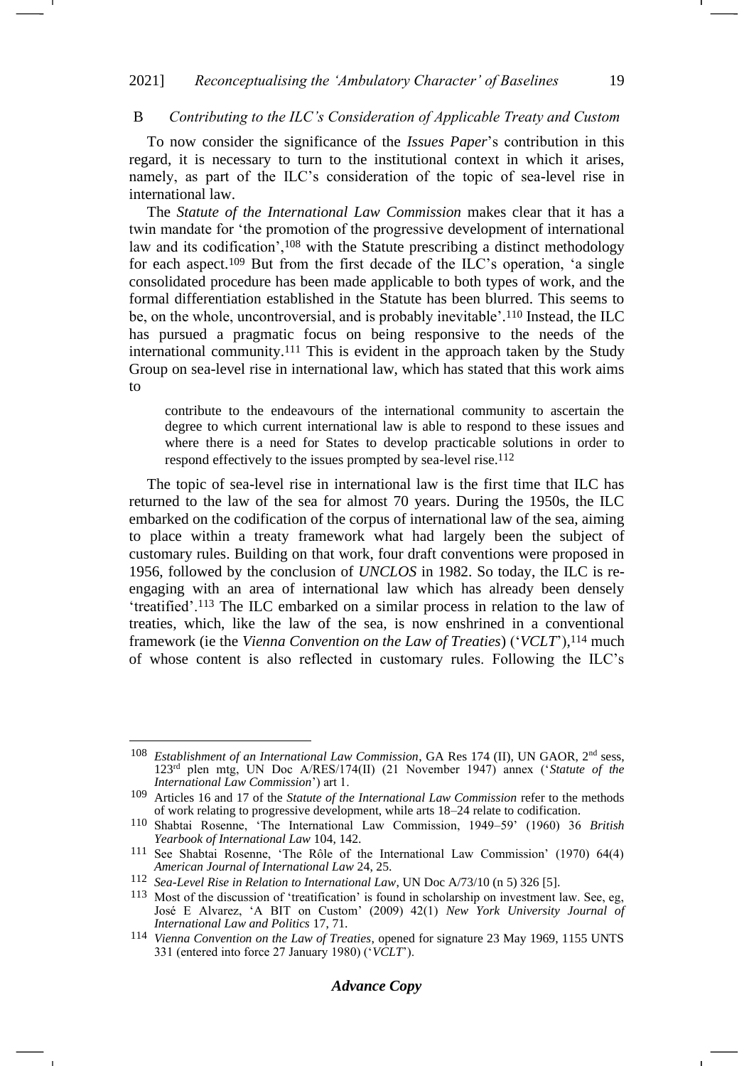### B *Contributing to the ILC's Consideration of Applicable Treaty and Custom*

To now consider the significance of the *Issues Paper*'s contribution in this regard, it is necessary to turn to the institutional context in which it arises, namely, as part of the ILC's consideration of the topic of sea-level rise in international law.

The *Statute of the International Law Commission* makes clear that it has a twin mandate for 'the promotion of the progressive development of international law and its codification',<sup>108</sup> with the Statute prescribing a distinct methodology for each aspect.<sup>109</sup> But from the first decade of the ILC's operation, 'a single consolidated procedure has been made applicable to both types of work, and the formal differentiation established in the Statute has been blurred. This seems to be, on the whole, uncontroversial, and is probably inevitable'. <sup>110</sup> Instead, the ILC has pursued a pragmatic focus on being responsive to the needs of the international community.<sup>111</sup> This is evident in the approach taken by the Study Group on sea-level rise in international law, which has stated that this work aims to

contribute to the endeavours of the international community to ascertain the degree to which current international law is able to respond to these issues and where there is a need for States to develop practicable solutions in order to respond effectively to the issues prompted by sea-level rise.<sup>112</sup>

The topic of sea-level rise in international law is the first time that ILC has returned to the law of the sea for almost 70 years. During the 1950s, the ILC embarked on the codification of the corpus of international law of the sea, aiming to place within a treaty framework what had largely been the subject of customary rules. Building on that work, four draft conventions were proposed in 1956, followed by the conclusion of *UNCLOS* in 1982. So today, the ILC is reengaging with an area of international law which has already been densely 'treatified'.<sup>113</sup> The ILC embarked on a similar process in relation to the law of treaties, which, like the law of the sea, is now enshrined in a conventional framework (ie the *Vienna Convention on the Law of Treaties*) ('*VCLT*'), <sup>114</sup> much of whose content is also reflected in customary rules. Following the ILC's

<span id="page-18-0"></span><sup>108</sup> *Establishment of an International Law Commission*, GA Res 174 (II), UN GAOR, 2nd sess, 123rd plen mtg, UN Doc A/RES/174(II) (21 November 1947) annex ('*Statute of the International Law Commission*') art 1.

<sup>109</sup> Articles 16 and 17 of the *Statute of the International Law Commission* refer to the methods of work relating to progressive development, while arts 18–24 relate to codification.

<sup>110</sup> Shabtai Rosenne, 'The International Law Commission, 1949–59' (1960) 36 *British Yearbook of International Law* 104, 142.

<sup>111</sup> See Shabtai Rosenne, 'The Rôle of the International Law Commission' (1970) 64(4) *American Journal of International Law* 24, 25.

<sup>112</sup> *Sea-Level Rise in Relation to International Law*, UN Doc A/73/10 (n [5\)](#page-1-3) 326 [5].

<sup>113</sup> Most of the discussion of 'treatification' is found in scholarship on investment law. See, eg, José E Alvarez, 'A BIT on Custom' (2009) 42(1) *New York University Journal of International Law and Politics* 17, 71.

<sup>114</sup> *Vienna Convention on the Law of Treaties*, opened for signature 23 May 1969, 1155 UNTS 331 (entered into force 27 January 1980) ('*VCLT*').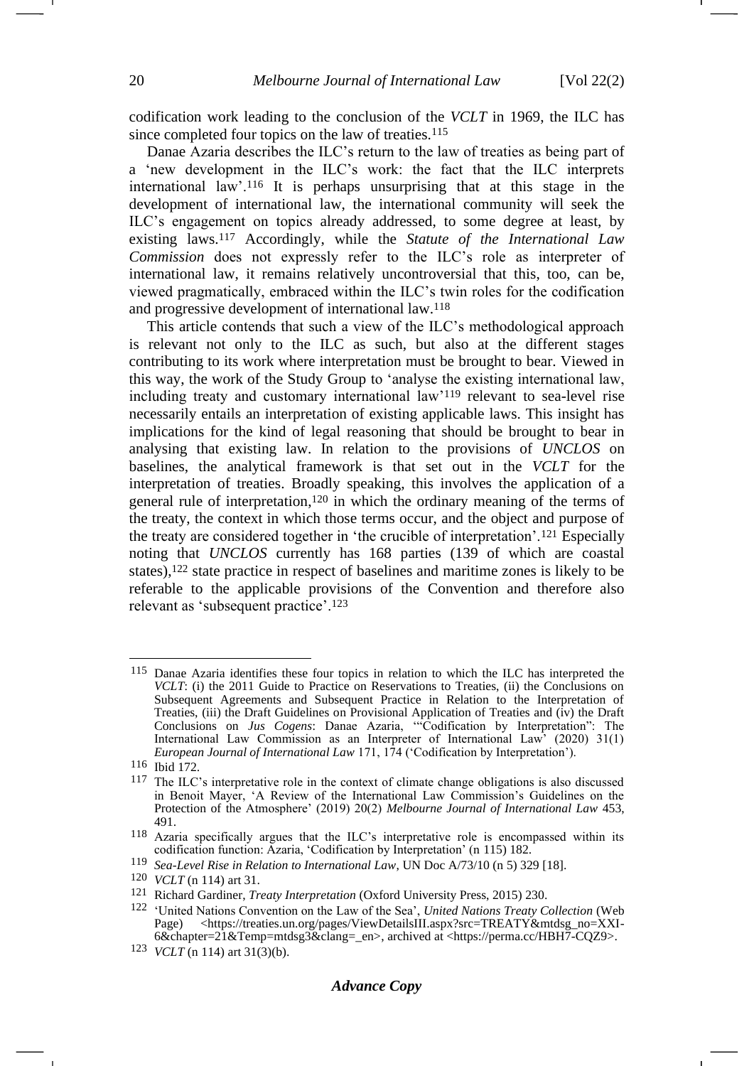<span id="page-19-0"></span>-

codification work leading to the conclusion of the *VCLT* in 1969, the ILC has since completed four topics on the law of treaties.<sup>115</sup>

Danae Azaria describes the ILC's return to the law of treaties as being part of a 'new development in the ILC's work: the fact that the ILC interprets international law'.<sup>116</sup> It is perhaps unsurprising that at this stage in the development of international law, the international community will seek the ILC's engagement on topics already addressed, to some degree at least, by existing laws.<sup>117</sup> Accordingly, while the *Statute of the International Law Commission* does not expressly refer to the ILC's role as interpreter of international law, it remains relatively uncontroversial that this, too, can be, viewed pragmatically, embraced within the ILC's twin roles for the codification and progressive development of international law.<sup>118</sup>

This article contends that such a view of the ILC's methodological approach is relevant not only to the ILC as such, but also at the different stages contributing to its work where interpretation must be brought to bear. Viewed in this way, the work of the Study Group to 'analyse the existing international law, including treaty and customary international law'<sup>119</sup> relevant to sea-level rise necessarily entails an interpretation of existing applicable laws. This insight has implications for the kind of legal reasoning that should be brought to bear in analysing that existing law. In relation to the provisions of *UNCLOS* on baselines, the analytical framework is that set out in the *VCLT* for the interpretation of treaties. Broadly speaking, this involves the application of a general rule of interpretation, <sup>120</sup> in which the ordinary meaning of the terms of the treaty, the context in which those terms occur, and the object and purpose of the treaty are considered together in 'the crucible of interpretation'.<sup>121</sup> Especially noting that *UNCLOS* currently has 168 parties (139 of which are coastal states),<sup>122</sup> state practice in respect of baselines and maritime zones is likely to be referable to the applicable provisions of the Convention and therefore also relevant as 'subsequent practice'.<sup>123</sup>

<sup>115</sup> Danae Azaria identifies these four topics in relation to which the ILC has interpreted the *VCLT*: (i) the 2011 Guide to Practice on Reservations to Treaties, (ii) the Conclusions on Subsequent Agreements and Subsequent Practice in Relation to the Interpretation of Treaties, (iii) the Draft Guidelines on Provisional Application of Treaties and (iv) the Draft Conclusions on *Jus Cogens*: Danae Azaria, '"Codification by Interpretation": The International Law Commission as an Interpreter of International Law' (2020) 31(1) *European Journal of International Law* 171, 174 ('Codification by Interpretation').

<sup>116</sup> Ibid 172.

<sup>117</sup> The ILC's interpretative role in the context of climate change obligations is also discussed in Benoit Mayer, 'A Review of the International Law Commission's Guidelines on the Protection of the Atmosphere' (2019) 20(2) *Melbourne Journal of International Law* 453, 491.

<sup>118</sup> Azaria specifically argues that the ILC's interpretative role is encompassed within its codification function: Azaria, 'Codification by Interpretation' (n [115\)](#page-19-0) 182.

<sup>119</sup> *Sea-Level Rise in Relation to International Law*, UN Doc A/73/10 (n [5\)](#page-1-3) 329 [18].

<sup>120</sup> *VCLT* (n [114\)](#page-18-0) art 31.

<sup>121</sup> Richard Gardiner, *Treaty Interpretation* (Oxford University Press, 2015) 230.

<sup>122</sup> 'United Nations Convention on the Law of the Sea', *United Nations Treaty Collection* (Web Page) <https://treaties.un.org/pages/ViewDetailsIII.aspx?src=TREATY&mtdsg\_no=XXI-6&chapter=21&Temp=mtdsg3&clang=\_en>, archived at <https://perma.cc/HBH7-CQZ9>.

<sup>123</sup> *VCLT* (n [114\)](#page-18-0) art 31(3)(b).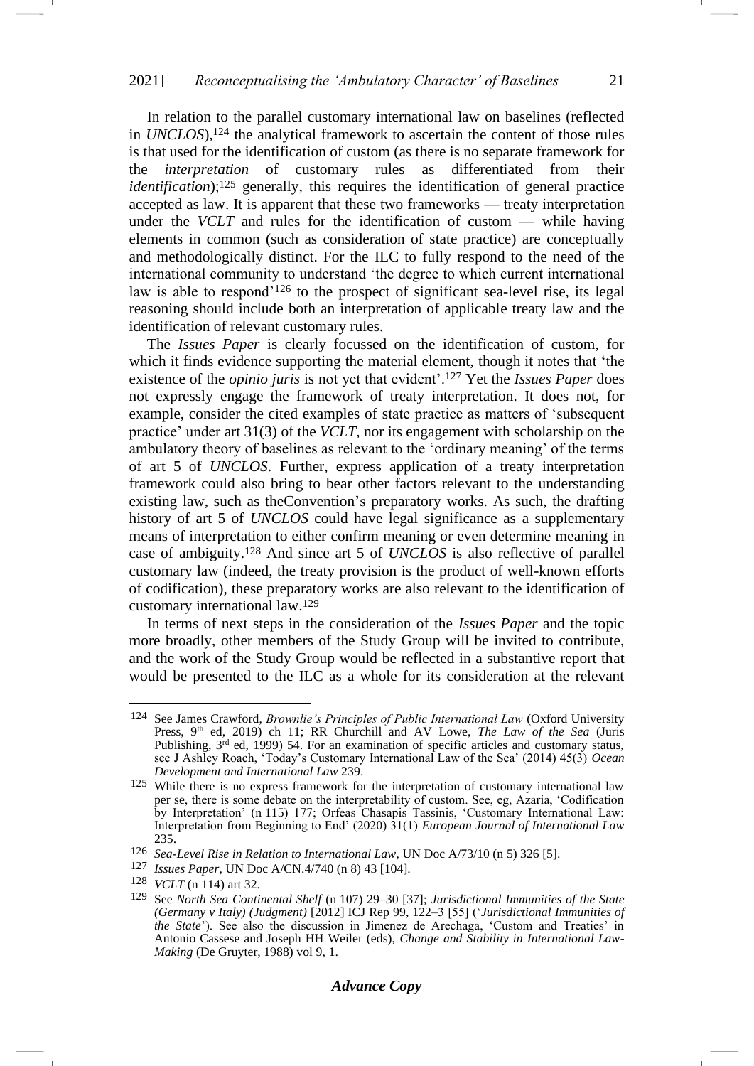In relation to the parallel customary international law on baselines (reflected in *UNCLOS*),<sup>124</sup> the analytical framework to ascertain the content of those rules is that used for the identification of custom (as there is no separate framework for the *interpretation* of customary rules as differentiated from their *identification*);<sup>125</sup> generally, this requires the identification of general practice accepted as law. It is apparent that these two frameworks — treaty interpretation under the *VCLT* and rules for the identification of custom — while having elements in common (such as consideration of state practice) are conceptually and methodologically distinct. For the ILC to fully respond to the need of the international community to understand 'the degree to which current international law is able to respond'<sup>126</sup> to the prospect of significant sea-level rise, its legal reasoning should include both an interpretation of applicable treaty law and the identification of relevant customary rules.

The *Issues Paper* is clearly focussed on the identification of custom, for which it finds evidence supporting the material element, though it notes that 'the existence of the *opinio juris* is not yet that evident'.<sup>127</sup> Yet the *Issues Paper* does not expressly engage the framework of treaty interpretation. It does not, for example, consider the cited examples of state practice as matters of 'subsequent practice' under art 31(3) of the *VCLT*, nor its engagement with scholarship on the ambulatory theory of baselines as relevant to the 'ordinary meaning' of the terms of art 5 of *UNCLOS*. Further, express application of a treaty interpretation framework could also bring to bear other factors relevant to the understanding existing law, such as theConvention's preparatory works. As such, the drafting history of art 5 of *UNCLOS* could have legal significance as a supplementary means of interpretation to either confirm meaning or even determine meaning in case of ambiguity.<sup>128</sup> And since art 5 of *UNCLOS* is also reflective of parallel customary law (indeed, the treaty provision is the product of well-known efforts of codification), these preparatory works are also relevant to the identification of customary international law.<sup>129</sup>

In terms of next steps in the consideration of the *Issues Paper* and the topic more broadly, other members of the Study Group will be invited to contribute, and the work of the Study Group would be reflected in a substantive report that would be presented to the ILC as a whole for its consideration at the relevant

<sup>124</sup> See James Crawford, *Brownlie's Principles of Public International Law* (Oxford University Press, 9<sup>th</sup> ed, 2019) ch 11; RR Churchill and AV Lowe, *The Law of the Sea* (Juris Publishing, 3<sup>rd</sup> ed, 1999) 54. For an examination of specific articles and customary status, see J Ashley Roach, 'Today's Customary International Law of the Sea' (2014) 45(3) *Ocean Development and International Law* 239.

<sup>&</sup>lt;sup>125</sup> While there is no express framework for the interpretation of customary international law per se, there is some debate on the interpretability of custom. See, eg, Azaria, 'Codification by Interpretation' (n [115\)](#page-19-0) 177; Orfeas Chasapis Tassinis, 'Customary International Law: Interpretation from Beginning to End' (2020) 31(1) *European Journal of International Law*  235.

<sup>126</sup> *Sea-Level Rise in Relation to International Law*, UN Doc A/73/10 (n [5\)](#page-1-3) 326 [5].

<sup>127</sup> *Issues Paper*, UN Doc A/CN.4/740 (n [8\)](#page-1-2) 43 [104].

<sup>128</sup> *VCLT* (n [114\)](#page-18-0) art 32.

<sup>129</sup> See *North Sea Continental Shelf* (n [107\)](#page-17-0) 29–30 [37]; *Jurisdictional Immunities of the State (Germany v Italy) (Judgment)* [2012] ICJ Rep 99, 122–3 [55] ('*Jurisdictional Immunities of the State*'). See also the discussion in Jimenez de Arechaga, 'Custom and Treaties' in Antonio Cassese and Joseph HH Weiler (eds), *Change and Stability in International Law-Making* (De Gruyter, 1988) vol 9, 1.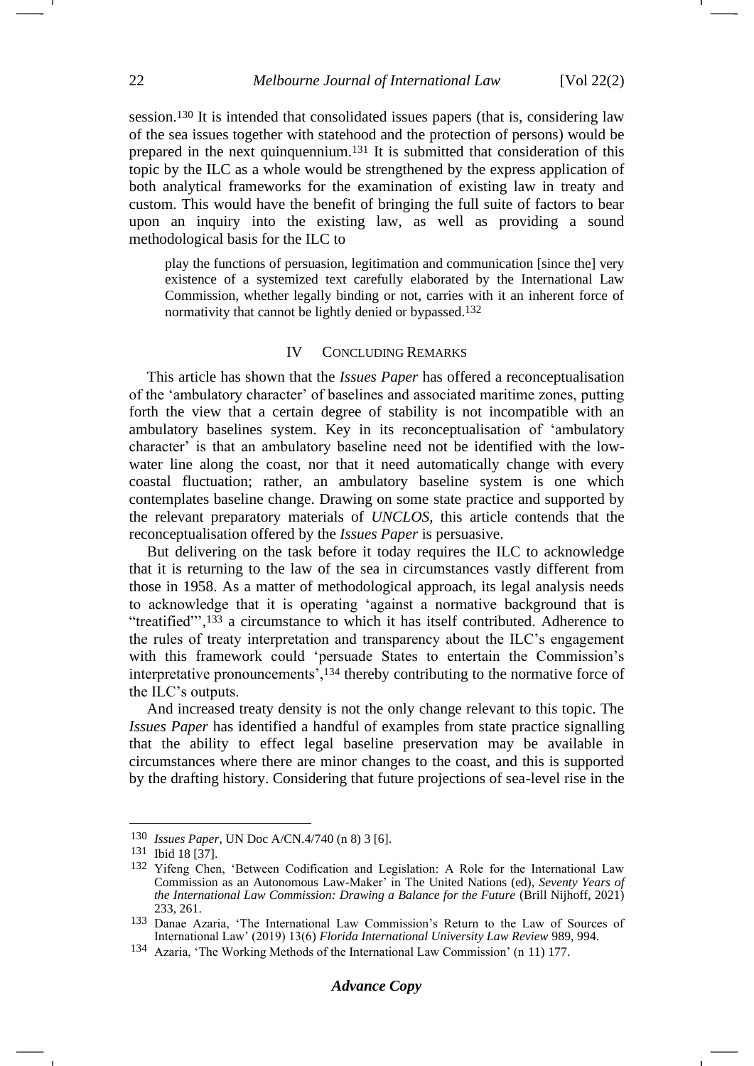session.<sup>130</sup> It is intended that consolidated issues papers (that is, considering law of the sea issues together with statehood and the protection of persons) would be prepared in the next quinquennium.<sup>131</sup> It is submitted that consideration of this topic by the ILC as a whole would be strengthened by the express application of both analytical frameworks for the examination of existing law in treaty and custom. This would have the benefit of bringing the full suite of factors to bear upon an inquiry into the existing law, as well as providing a sound methodological basis for the ILC to

play the functions of persuasion, legitimation and communication [since the] very existence of a systemized text carefully elaborated by the International Law Commission, whether legally binding or not, carries with it an inherent force of normativity that cannot be lightly denied or bypassed.132

### IV CONCLUDING REMARKS

This article has shown that the *Issues Paper* has offered a reconceptualisation of the 'ambulatory character' of baselines and associated maritime zones, putting forth the view that a certain degree of stability is not incompatible with an ambulatory baselines system. Key in its reconceptualisation of 'ambulatory character' is that an ambulatory baseline need not be identified with the lowwater line along the coast, nor that it need automatically change with every coastal fluctuation; rather, an ambulatory baseline system is one which contemplates baseline change. Drawing on some state practice and supported by the relevant preparatory materials of *UNCLOS*, this article contends that the reconceptualisation offered by the *Issues Paper* is persuasive.

But delivering on the task before it today requires the ILC to acknowledge that it is returning to the law of the sea in circumstances vastly different from those in 1958. As a matter of methodological approach, its legal analysis needs to acknowledge that it is operating 'against a normative background that is "treatified"',<sup>133</sup> a circumstance to which it has itself contributed. Adherence to the rules of treaty interpretation and transparency about the ILC's engagement with this framework could 'persuade States to entertain the Commission's interpretative pronouncements',<sup>134</sup> thereby contributing to the normative force of the ILC's outputs.

And increased treaty density is not the only change relevant to this topic. The *Issues Paper* has identified a handful of examples from state practice signalling that the ability to effect legal baseline preservation may be available in circumstances where there are minor changes to the coast, and this is supported by the drafting history. Considering that future projections of sea-level rise in the

<sup>130</sup> *Issues Paper*, UN Doc A/CN.4/740 (n [8\)](#page-1-2) 3 [6].

<sup>131</sup> Ibid 18 [37].

<sup>132</sup> Yifeng Chen, 'Between Codification and Legislation: A Role for the International Law Commission as an Autonomous Law-Maker' in The United Nations (ed), *Seventy Years of the International Law Commission: Drawing a Balance for the Future* (Brill Nijhoff, 2021) 233, 261.

<sup>133</sup> Danae Azaria, 'The International Law Commission's Return to the Law of Sources of International Law' (2019) 13(6) *Florida International University Law Review* 989, 994.

<sup>134</sup> Azaria, 'The Working Methods of the International Law Commission' (n [11\)](#page-2-0) 177.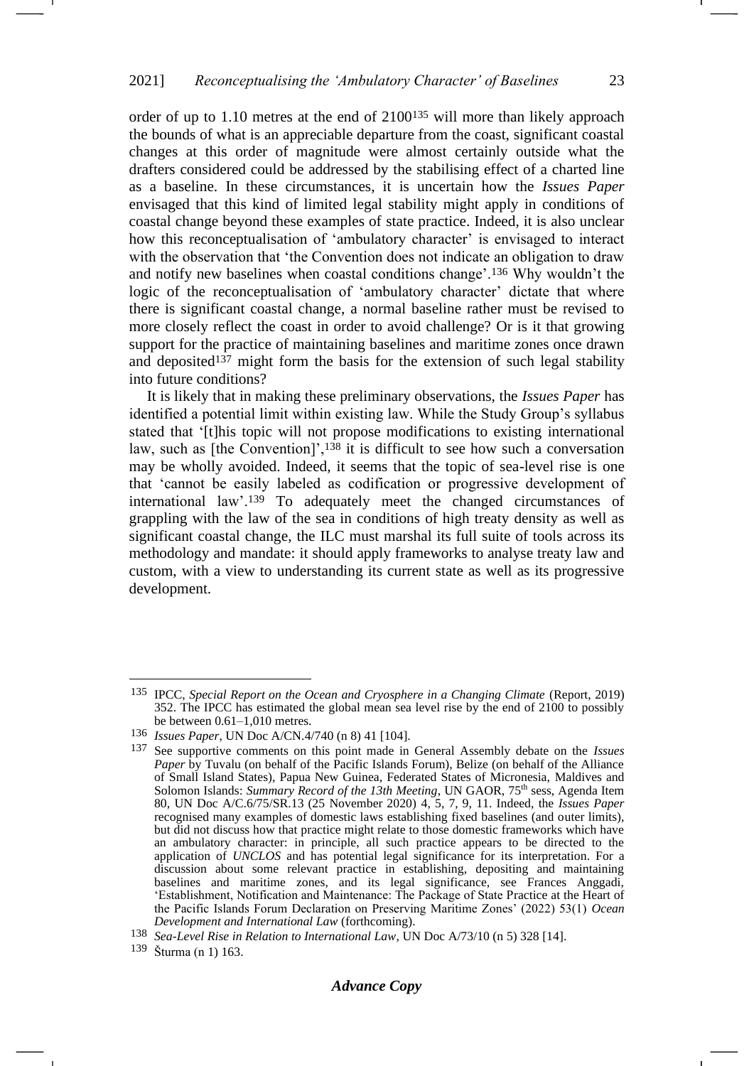order of up to 1.10 metres at the end of 2100<sup>135</sup> will more than likely approach the bounds of what is an appreciable departure from the coast, significant coastal changes at this order of magnitude were almost certainly outside what the drafters considered could be addressed by the stabilising effect of a charted line as a baseline. In these circumstances, it is uncertain how the *Issues Paper* envisaged that this kind of limited legal stability might apply in conditions of coastal change beyond these examples of state practice. Indeed, it is also unclear how this reconceptualisation of 'ambulatory character' is envisaged to interact with the observation that 'the Convention does not indicate an obligation to draw and notify new baselines when coastal conditions change'.<sup>136</sup> Why wouldn't the logic of the reconceptualisation of 'ambulatory character' dictate that where there is significant coastal change, a normal baseline rather must be revised to more closely reflect the coast in order to avoid challenge? Or is it that growing support for the practice of maintaining baselines and maritime zones once drawn and deposited<sup>137</sup> might form the basis for the extension of such legal stability into future conditions?

It is likely that in making these preliminary observations, the *Issues Paper* has identified a potential limit within existing law. While the Study Group's syllabus stated that '[t]his topic will not propose modifications to existing international law, such as [the Convention]',<sup>138</sup> it is difficult to see how such a conversation may be wholly avoided. Indeed, it seems that the topic of sea-level rise is one that 'cannot be easily labeled as codification or progressive development of international law'.<sup>139</sup> To adequately meet the changed circumstances of grappling with the law of the sea in conditions of high treaty density as well as significant coastal change, the ILC must marshal its full suite of tools across its methodology and mandate: it should apply frameworks to analyse treaty law and custom, with a view to understanding its current state as well as its progressive development.

<sup>135</sup> IPCC, *Special Report on the Ocean and Cryosphere in a Changing Climate* (Report, 2019) 352. The IPCC has estimated the global mean sea level rise by the end of 2100 to possibly be between 0.61–1,010 metres.

<sup>136</sup> *Issues Paper*, UN Doc A/CN.4/740 (n [8\)](#page-1-2) 41 [104].

<sup>137</sup> See supportive comments on this point made in General Assembly debate on the *Issues Paper* by Tuvalu (on behalf of the Pacific Islands Forum), Belize (on behalf of the Alliance of Small Island States), Papua New Guinea, Federated States of Micronesia, Maldives and Solomon Islands: *Summary Record of the 13th Meeting*, UN GAOR, 75<sup>th</sup> sess, Agenda Item 80, UN Doc A/C.6/75/SR.13 (25 November 2020) 4, 5, 7, 9, 11. Indeed, the *Issues Paper* recognised many examples of domestic laws establishing fixed baselines (and outer limits), but did not discuss how that practice might relate to those domestic frameworks which have an ambulatory character: in principle, all such practice appears to be directed to the application of *UNCLOS* and has potential legal significance for its interpretation. For a discussion about some relevant practice in establishing, depositing and maintaining baselines and maritime zones, and its legal significance, see Frances Anggadi, 'Establishment, Notification and Maintenance: The Package of State Practice at the Heart of the Pacific Islands Forum Declaration on Preserving Maritime Zones' (2022) 53(1) *Ocean Development and International Law* (forthcoming).

<sup>138</sup> *Sea-Level Rise in Relation to International Law*, UN Doc A/73/10 (n [5\)](#page-1-3) 328 [14].

<sup>139</sup> Šturma (n [1\)](#page-1-4) 163.